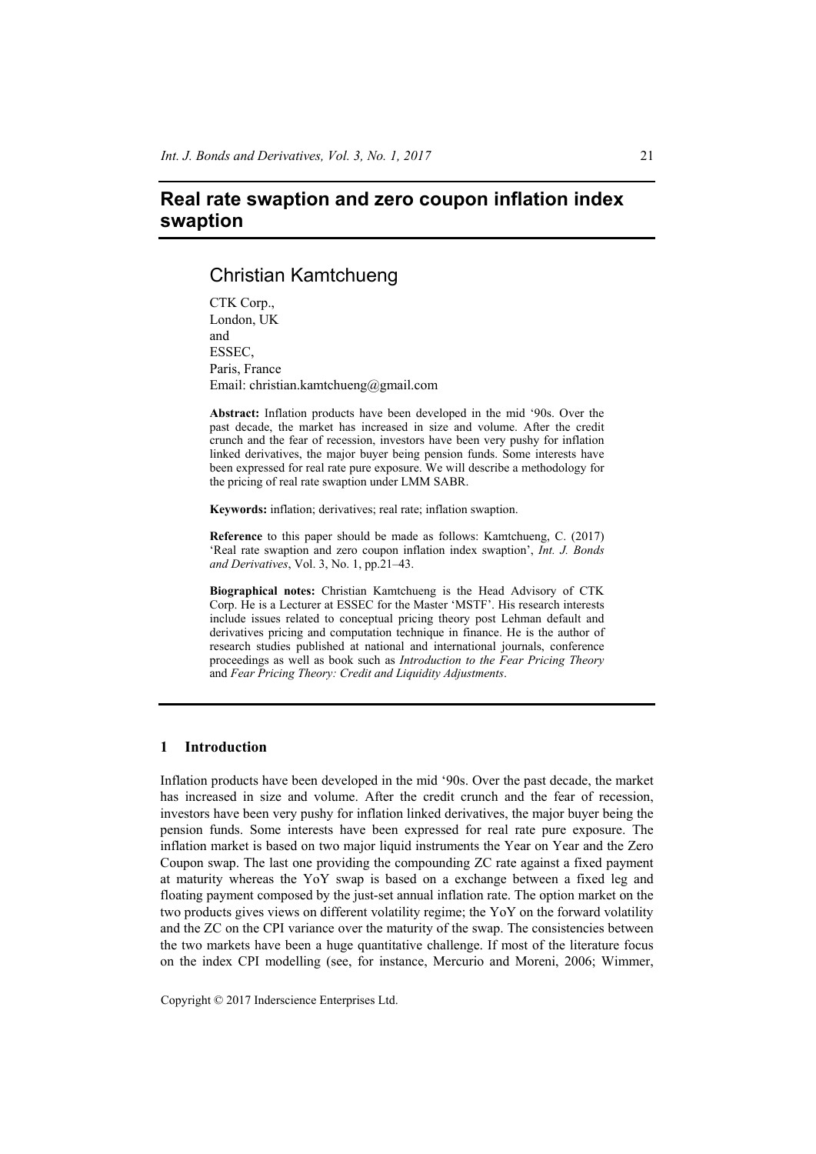# Christian Kamtchueng

CTK Corp., London, UK and ESSEC, Paris, France Email: christian.kamtchueng@gmail.com

**Abstract:** Inflation products have been developed in the mid '90s. Over the past decade, the market has increased in size and volume. After the credit crunch and the fear of recession, investors have been very pushy for inflation linked derivatives, the major buyer being pension funds. Some interests have been expressed for real rate pure exposure. We will describe a methodology for the pricing of real rate swaption under LMM SABR.

**Keywords:** inflation; derivatives; real rate; inflation swaption.

**Reference** to this paper should be made as follows: Kamtchueng, C. (2017) 'Real rate swaption and zero coupon inflation index swaption', *Int. J. Bonds and Derivatives*, Vol. 3, No. 1, pp.21–43.

**Biographical notes:** Christian Kamtchueng is the Head Advisory of CTK Corp. He is a Lecturer at ESSEC for the Master 'MSTF'. His research interests include issues related to conceptual pricing theory post Lehman default and derivatives pricing and computation technique in finance. He is the author of research studies published at national and international journals, conference proceedings as well as book such as *Introduction to the Fear Pricing Theory* and *Fear Pricing Theory: Credit and Liquidity Adjustments*.

## **1 Introduction**

Inflation products have been developed in the mid '90s. Over the past decade, the market has increased in size and volume. After the credit crunch and the fear of recession, investors have been very pushy for inflation linked derivatives, the major buyer being the pension funds. Some interests have been expressed for real rate pure exposure. The inflation market is based on two major liquid instruments the Year on Year and the Zero Coupon swap. The last one providing the compounding ZC rate against a fixed payment at maturity whereas the YoY swap is based on a exchange between a fixed leg and floating payment composed by the just-set annual inflation rate. The option market on the two products gives views on different volatility regime; the YoY on the forward volatility and the ZC on the CPI variance over the maturity of the swap. The consistencies between the two markets have been a huge quantitative challenge. If most of the literature focus on the index CPI modelling (see, for instance, Mercurio and Moreni, 2006; Wimmer,

Copyright © 2017 Inderscience Enterprises Ltd.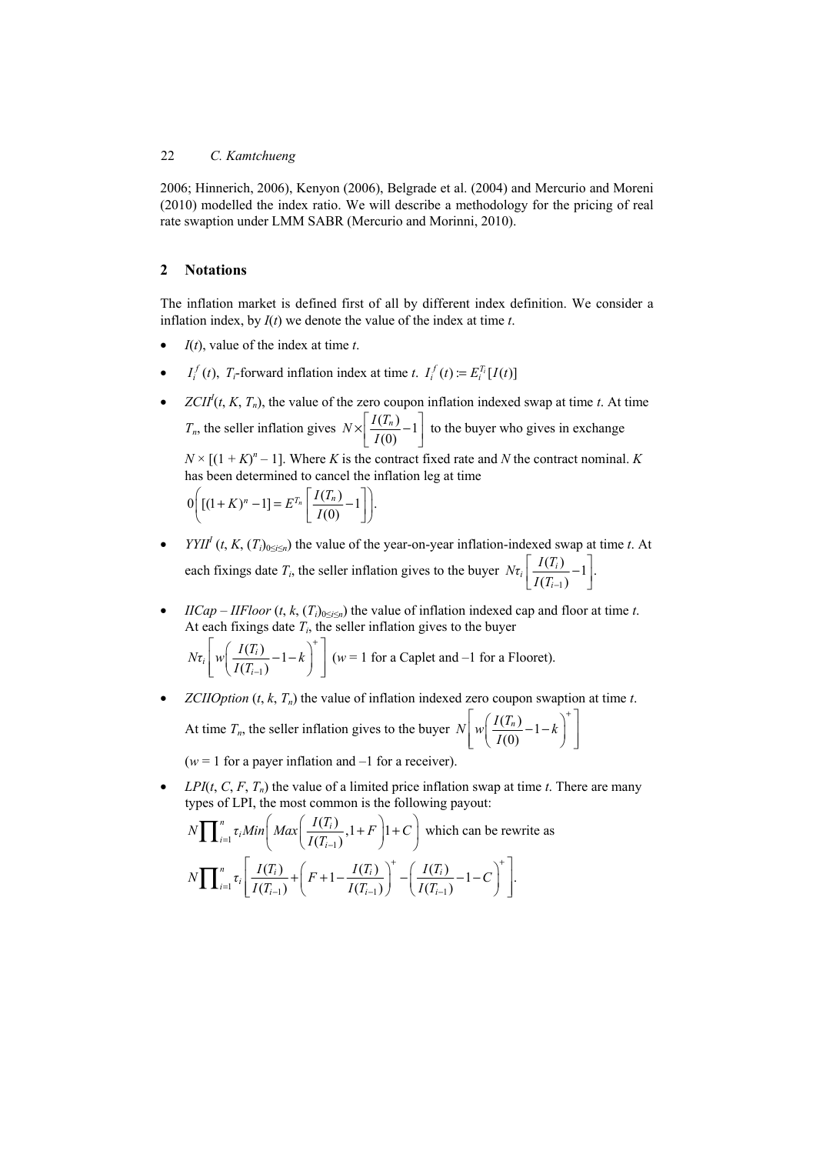2006; Hinnerich, 2006), Kenyon (2006), Belgrade et al. (2004) and Mercurio and Moreni (2010) modelled the index ratio. We will describe a methodology for the pricing of real rate swaption under LMM SABR (Mercurio and Morinni, 2010).

### **2 Notations**

The inflation market is defined first of all by different index definition. We consider a inflation index, by *I*(*t*) we denote the value of the index at time *t*.

- $I(t)$ , value of the index at time  $t$ .
- $I_i^f(t)$ , *T<sub>i</sub>*-forward inflation index at time *t*.  $I_i^f(t) \coloneqq E_i^{T_i}[I(t)]$
- *ZCII<sup>I</sup>*( $t$ ,  $K$ ,  $T_n$ ), the value of the zero coupon inflation indexed swap at time  $t$ . At time *T<sub>n</sub>*, the seller inflation gives  $N \times \left[ \frac{I(T_n)}{I(0)} - 1 \right]$  to the buyer who gives in exchange

 $N \times [(1 + K)^n - 1]$ . Where *K* is the contract fixed rate and *N* the contract nominal. *K* has been determined to cancel the inflation leg at time

$$
0\bigg[\big[(1+K)^n-1\big]=E^{T_n}\bigg[\frac{I(T_n)}{I(0)}-1\bigg]\bigg].
$$

- *YYII<sup>I</sup>* (*t*, *K*,  $(T_i)_{0 \le i \le n}$ ) the value of the year-on-year inflation-indexed swap at time *t*. At each fixings date  $T_i$ , the seller inflation gives to the buyer  $N\tau_i \left[ \frac{I(T_i)}{I(T_{i-1})} - 1 \right]$ .
- *IICap IIFloor* (*t*, *k*,  $(T_i)_{0 \le i \le n}$ ) the value of inflation indexed cap and floor at time *t*. At each fixings date  $T_i$ , the seller inflation gives to the buyer

$$
N\tau_i \left[ w \left( \frac{I(T_i)}{I(T_{i-1})} - 1 - k \right)^+ \right] (w = 1 \text{ for a Caplet and } -1 \text{ for a Flooret}).
$$

• *ZCIIOption*  $(t, k, T_n)$  the value of inflation indexed zero coupon swaption at time *t*. At time  $T_n$ , the seller inflation gives to the buyer  $N \left[ w \left( \frac{I(T_n)}{I(0)} - 1 - k \right)^+ \right]$ 

 $(w = 1$  for a payer inflation and  $-1$  for a receiver).

• *LPI*( $t$ ,  $C$ ,  $F$ ,  $T_n$ ) the value of a limited price inflation swap at time  $t$ . There are many types of LPI, the most common is the following payout:

$$
N \prod_{i=1}^{n} \tau_{i} Min \bigg( Max \bigg( \frac{I(T_{i})}{I(T_{i-1})}, 1 + F \bigg) 1 + C \bigg) \text{ which can be rewrite as}
$$

$$
N \prod_{i=1}^{n} \tau_{i} \bigg[ \frac{I(T_{i})}{I(T_{i-1})} + \bigg( F + 1 - \frac{I(T_{i})}{I(T_{i-1})} \bigg)^{+} - \bigg( \frac{I(T_{i})}{I(T_{i-1})} - 1 - C \bigg)^{+} \bigg].
$$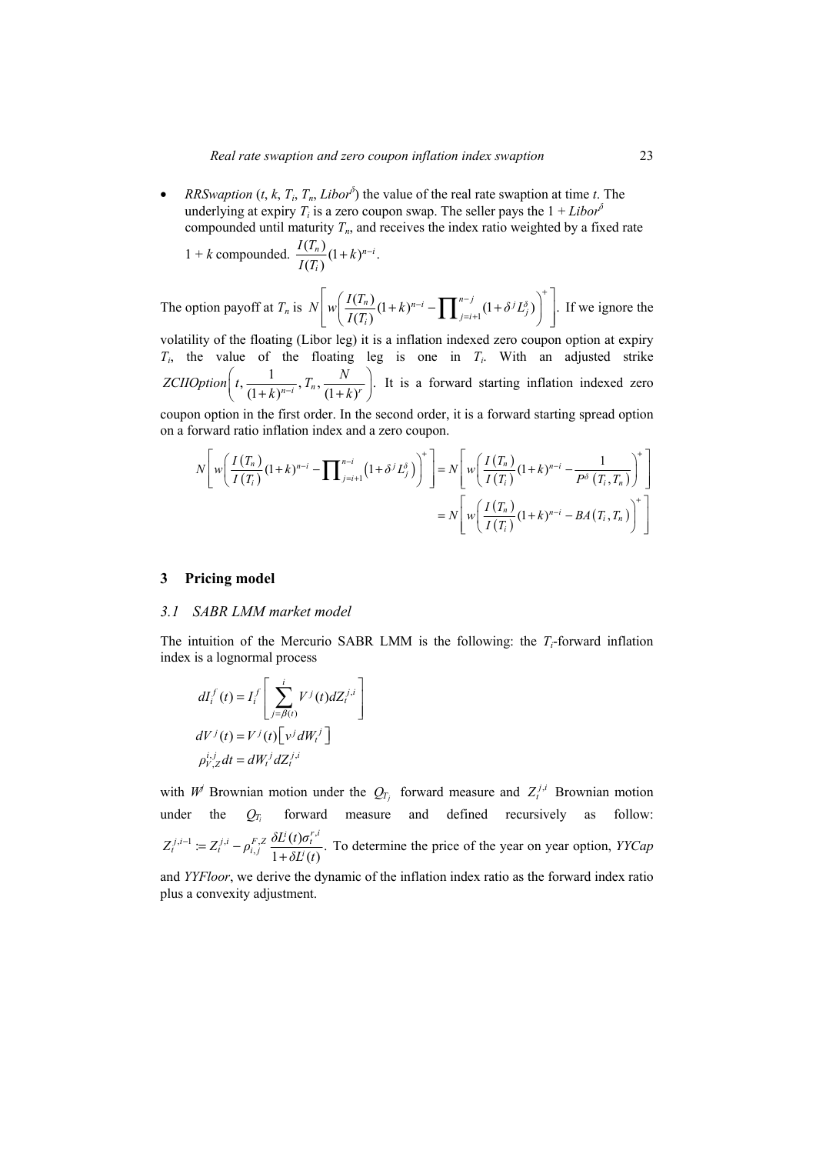• *RRSwaption* (*t*, *k*, *T<sub>i</sub>*, *T<sub>n</sub>*, *Libor*<sup> $\delta$ </sup>) the value of the real rate swaption at time *t*. The underlying at expiry  $T_i$  is a zero coupon swap. The seller pays the  $1 + Libor^{\delta}$ compounded until maturity  $T_n$ , and receives the index ratio weighted by a fixed rate

$$
1 + k \text{ compounded.} \frac{I(T_n)}{I(T_i)} (1 + k)^{n-i}.
$$

The option payoff at  $T_n$  is  $N \left| W \left( \frac{I(T_n)}{I(T_i)} (1+k)^{n-i} - \prod_{j=i+1}^{n-j} (1+\delta^j L_j^{\delta}) \right)^+ \right|$ .  $\frac{1}{i}$   $\left(1 + \kappa\right)$  **1**  $\prod_{j=i+1}$   $\left(1 + \sigma^2 L_j\right)$  $N\left[ w\left( \frac{I(T_n)}{I(T_i)} (1+k)^{n-i} - \prod_{j=i+1}^{n-j} (1+\delta^j L_j) \right) \right]$  $e^{-i}$  –  $\prod^{n-j} (1+\delta^{j}I_{\delta}^{j})$  $\left[ w \left( \frac{I(T_n)}{I(T_i)} (1+k)^{n-i} - \prod_{j=i+1}^{n-j} (1+\delta^j L_j^{\delta}) \right)^+ \right]$ . If we ignore the

volatility of the floating (Libor leg) it is a inflation indexed zero coupon option at expiry  $T_i$ , the value of the floating leg is one in  $T_i$ . With an adjusted strike  $ZCIIOption\left(t, \frac{1}{(1+k)^{n-i}}, T_n, \frac{N}{(1+k)^r}\right)$ . It is a forward starting inflation indexed zero

coupon option in the first order. In the second order, it is a forward starting spread option on a forward ratio inflation index and a zero coupon.

$$
N\left[w\left(\frac{I(T_n)}{I(T_i)}(1+k)^{n-i}-\prod_{j=i+1}^{n-i}\left(1+\delta^j L_j^{\delta}\right)\right)^+\right]=N\left[w\left(\frac{I(T_n)}{I(T_i)}(1+k)^{n-i}-\frac{1}{P^{\delta}(T_i,T_n)}\right)^+\right]
$$

$$
=N\left[w\left(\frac{I(T_n)}{I(T_i)}(1+k)^{n-i}-BA(T_i,T_n)\right)^+\right]
$$

#### **3 Pricing model**

#### *3.1 SABR LMM market model*

The intuition of the Mercurio SABR LMM is the following: the *Ti*-forward inflation index is a lognormal process

$$
dI_i^f(t) = I_i^f \left[ \sum_{j=\beta(t)}^i V^j(t) dZ_i^{j,i} \right]
$$
  

$$
dV^j(t) = V^j(t) \left[ v^j dW_i^j \right]
$$
  

$$
\rho_{V,Z}^{i,j} dt = dW_i^j dZ_i^{j,i}
$$

with  $W^j$  Brownian motion under the  $Q_{T_j}$  forward measure and  $Z_t^{j,i}$  Brownian motion under the  $Q_{T_i}$  forward measure and defined recursively as follow:  $Z_t^{j,i-1} := Z_t^{j,i} - \rho_{i,j}^{F,Z} \frac{\delta L^i(t) \sigma_t^{r,i}}{1 + \delta L^i(t)}$ . To determine the price of the year on year option, *YYCap* 

and *YYFloor*, we derive the dynamic of the inflation index ratio as the forward index ratio plus a convexity adjustment.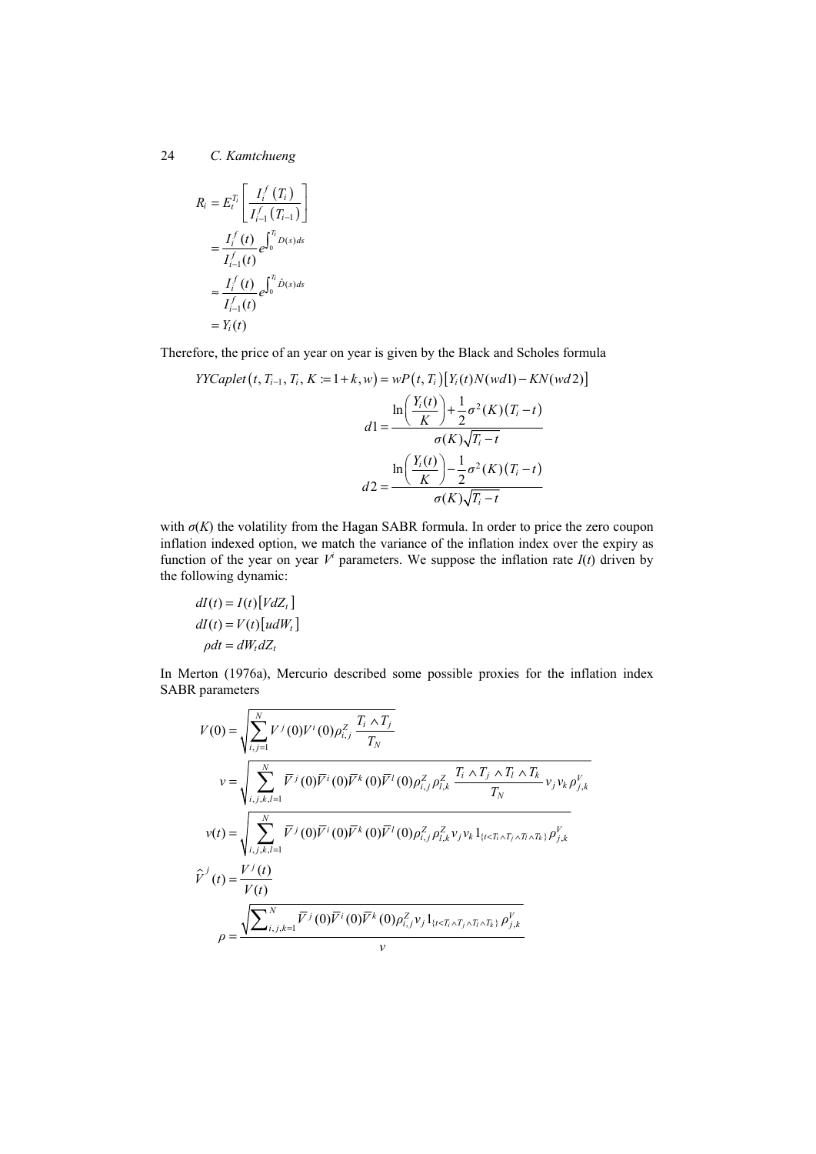$$
R_i = E_t^{T_i} \left[ \frac{I_i^f(T_i)}{I_{i-1}^f(T_{i-1})} \right]
$$
  
= 
$$
\frac{I_i^f(t)}{I_{i-1}^f(t)} e^{\int_0^{T_i} D(s) ds}
$$
  

$$
\approx \frac{I_i^f(t)}{I_{i-1}^f(t)} e^{\int_0^{T_i} \hat{D}(s) ds}
$$
  
= 
$$
Y_i(t)
$$

Therefore, the price of an year on year is given by the Black and Scholes formula

$$
YYCaplet(t, T_{i-1}, T_i, K := 1 + k, w) = wP(t, T_i) [Y_i(t)N(wd1) - KN(wd2)]
$$

$$
d1 = \frac{\ln\left(\frac{Y_i(t)}{K}\right) + \frac{1}{2}\sigma^2(K)(T_i - t)}{\sigma(K)\sqrt{T_i - t}}
$$

$$
d2 = \frac{\ln\left(\frac{Y_i(t)}{K}\right) - \frac{1}{2}\sigma^2(K)(T_i - t)}{\sigma(K)\sqrt{T_i - t}}
$$

with *σ*(*K*) the volatility from the Hagan SABR formula. In order to price the zero coupon inflation indexed option, we match the variance of the inflation index over the expiry as function of the year on year  $V^i$  parameters. We suppose the inflation rate  $I(t)$  driven by the following dynamic:

$$
dI(t) = I(t)[VdZt]
$$
  

$$
dI(t) = V(t)[udWt]
$$
  

$$
\rho dt = dWt dZt
$$

In Merton (1976a), Mercurio described some possible proxies for the inflation index SABR parameters

$$
V(0) = \sqrt{\sum_{i,j=1}^{N} V^{j}(0)V^{i}(0)\rho_{i,j}^{Z} \frac{T_{i} \wedge T_{j}}{T_{N}}}
$$
  
\n
$$
v = \sqrt{\sum_{i,j,k,l=1}^{N} \overline{V}^{j}(0)\overline{V}^{i}(0)\overline{V}^{k}(0)\overline{V}^{l}(0)\rho_{i,j}^{Z}\rho_{i,k}^{Z} \frac{T_{i} \wedge T_{j} \wedge T_{l} \wedge T_{k}}{T_{N}} v_{j}v_{k}\rho_{j,k}^{V}}
$$
  
\n
$$
v(t) = \sqrt{\sum_{i,j,k,l=1}^{N} \overline{V}^{j}(0)\overline{V}^{i}(0)\overline{V}^{k}(0)\overline{V}^{l}(0)\rho_{i,j}^{Z}\rho_{i,k}^{Z}v_{j}v_{k}1_{\{i \leq T_{i} \wedge T_{j} \wedge T_{l} \wedge T_{k}\}}\rho_{j,k}^{V}}
$$
  
\n
$$
\hat{V}^{j}(t) = \frac{V^{j}(t)}{V(t)}
$$
  
\n
$$
\rho = \frac{\sqrt{\sum_{i,j,k=1}^{N} \overline{V}^{j}(0)\overline{V}^{i}(0)\overline{V}^{k}(0)\rho_{i,j}^{Z}v_{j}1_{\{i \leq T_{i} \wedge T_{j} \wedge T_{l} \wedge T_{k}\}}\rho_{j,k}^{V}}{V}
$$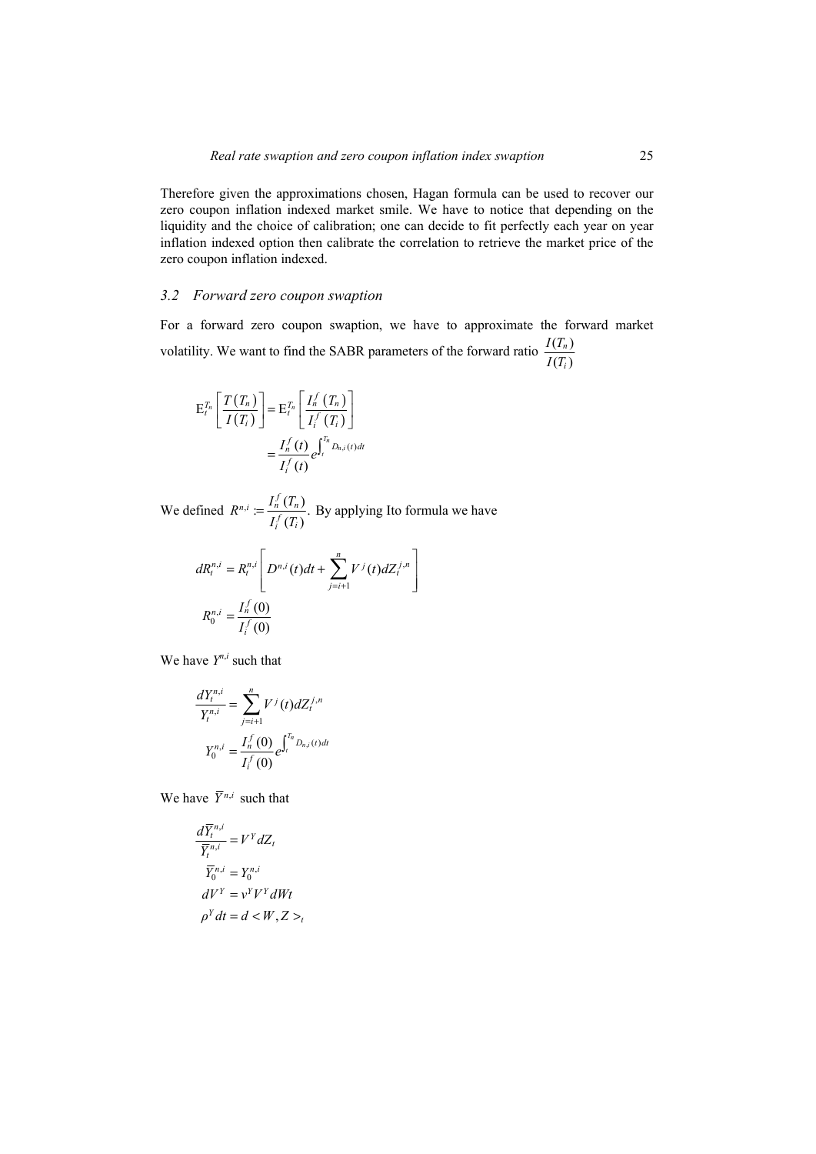Therefore given the approximations chosen, Hagan formula can be used to recover our zero coupon inflation indexed market smile. We have to notice that depending on the liquidity and the choice of calibration; one can decide to fit perfectly each year on year inflation indexed option then calibrate the correlation to retrieve the market price of the zero coupon inflation indexed.

### *3.2 Forward zero coupon swaption*

For a forward zero coupon swaption, we have to approximate the forward market volatility. We want to find the SABR parameters of the forward ratio  $\frac{I(T_n)}{I(T_i)}$ *n i I* (*T I* (*T* 

$$
E_t^{T_n} \left[ \frac{T(T_n)}{I(T_i)} \right] = E_t^{T_n} \left[ \frac{I_n^f(T_n)}{I_i^f(T_i)} \right]
$$
  
= 
$$
\frac{I_n^f(t)}{I_i^f(t)} e^{\int_t^{T_n} D_{n,i}(t)dt}
$$

We defined  $R^{n,i} := \frac{I_n^f(T_n)}{f_n^f(T_n)}$ .  $(T_i)$  $f_n$ ,  $i := \frac{I_n^f(T_n)}{I_i^f(T_i)}$  $R^{n,i} := \frac{I_n^f(T_n)}{I_i^f(T_i)}$ . By applying Ito formula we have

$$
dR_{i}^{n,i} = R_{i}^{n,i} \left[ D^{n,i}(t)dt + \sum_{j=i+1}^{n} V^{j}(t) dZ_{i}^{j,n} \right]
$$
  

$$
R_{0}^{n,i} = \frac{I_{n}^{f}(0)}{I_{i}^{f}(0)}
$$

We have  $Y^{n,i}$  such that

$$
\frac{dY_t^{n,i}}{Y_t^{n,i}} = \sum_{j=i+1}^n V^j(t) dZ_t^{j,n}
$$

$$
Y_0^{n,i} = \frac{I_n^f(0)}{I_i^f(0)} e^{\int_t^{T_n} D_{n,i}(t) dt}
$$

We have  $\overline{Y}^{n,i}$  such that

$$
d\overline{Y}_{t}^{n,i} = V^{Y} dZ_{t}
$$
  
\n
$$
\overline{Y}_{0}^{n,i} = Y_{0}^{n,i}
$$
  
\n
$$
dV^{Y} = v^{Y} V^{Y} dW t
$$
  
\n
$$
\rho^{Y} dt = d \langle W, Z \rangle_{t}
$$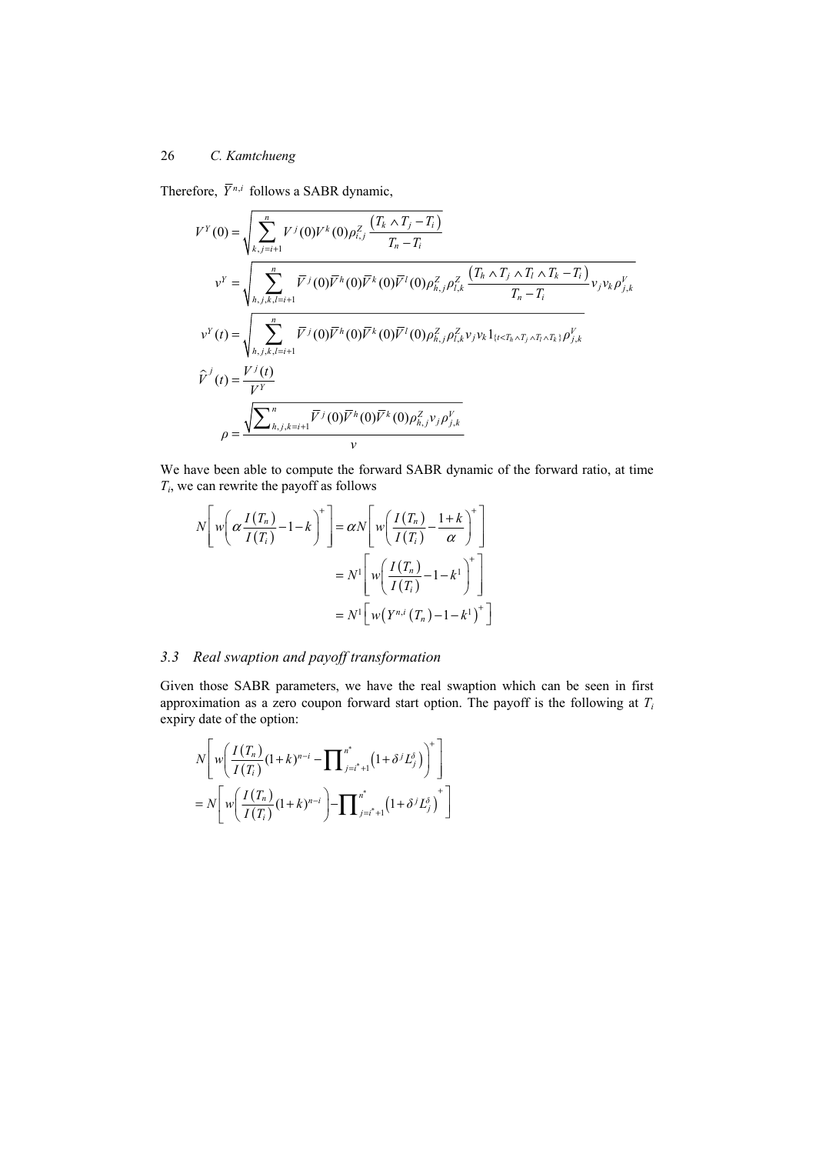Therefore,  $\overline{Y}^{n,i}$  follows a SABR dynamic,

$$
V^{Y}(0) = \sqrt{\sum_{k,j=i+1}^{n} V^{j}(0)V^{k}(0)\rho_{i,j}^{Z} \frac{(T_{k} \wedge T_{j} - T_{i})}{T_{n} - T_{i}}}
$$
  

$$
v^{Y} = \sqrt{\sum_{h,j,k,l=i+1}^{n} \overline{V}^{j}(0)\overline{V}^{h}(0)\overline{V}^{k}(0)\overline{V}^{l}(0)\rho_{h,j}^{Z}\rho_{i,k}^{Z} \frac{(T_{h} \wedge T_{j} \wedge T_{l} \wedge T_{k} - T_{i})}{T_{n} - T_{i}} v_{j}v_{k}\rho_{j,k}^{V}}
$$
  

$$
v^{Y}(t) = \sqrt{\sum_{h,j,k,l=i+1}^{n} \overline{V}^{j}(0)\overline{V}^{h}(0)\overline{V}^{k}(0)\overline{V}^{l}(0)\rho_{h,j}^{Z}\rho_{i,k}^{Z}v_{j}v_{k}1_{\{t < T_{h} \wedge T_{j} \wedge T_{l} \wedge T_{k}\}}\rho_{j,k}^{V}}
$$
  

$$
\hat{V}^{j}(t) = \frac{V^{j}(t)}{V^{Y}}
$$
  

$$
\rho = \frac{\sqrt{\sum_{h,j,k=i+1}^{n} \overline{V}^{j}(0)\overline{V}^{h}(0)\overline{V}^{k}(0)\rho_{h,j}^{Z}v_{j}\rho_{j,k}^{V}}}{v}
$$

We have been able to compute the forward SABR dynamic of the forward ratio, at time *Ti*, we can rewrite the payoff as follows

$$
N\left[w\left(\alpha\frac{I(T_n)}{I(T_i)}-1-k\right)^+\right]=\alpha N\left[w\left(\frac{I(T_n)}{I(T_i)}-\frac{1+k}{\alpha}\right)^+\right]
$$

$$
=N^1\left[w\left(\frac{I(T_n)}{I(T_i)}-1-k^1\right)^+\right]
$$

$$
=N^1\left[w(Y^{n,i}(T_n)-1-k^1)^+\right]
$$

# *3.3 Real swaption and payoff transformation*

Given those SABR parameters, we have the real swaption which can be seen in first approximation as a zero coupon forward start option. The payoff is the following at  $T_i$ expiry date of the option:

$$
N\left[w\left(\frac{I(T_n)}{I(T_i)}(1+k)^{n-i} - \prod_{j=i^*+1}^{n^*} (1+\delta^j L_j^{\delta})\right)^{+}\right] = N\left[w\left(\frac{I(T_n)}{I(T_i)}(1+k)^{n-i}\right) - \prod_{j=i^*+1}^{n^*} (1+\delta^j L_j^{\delta})^{+}\right]
$$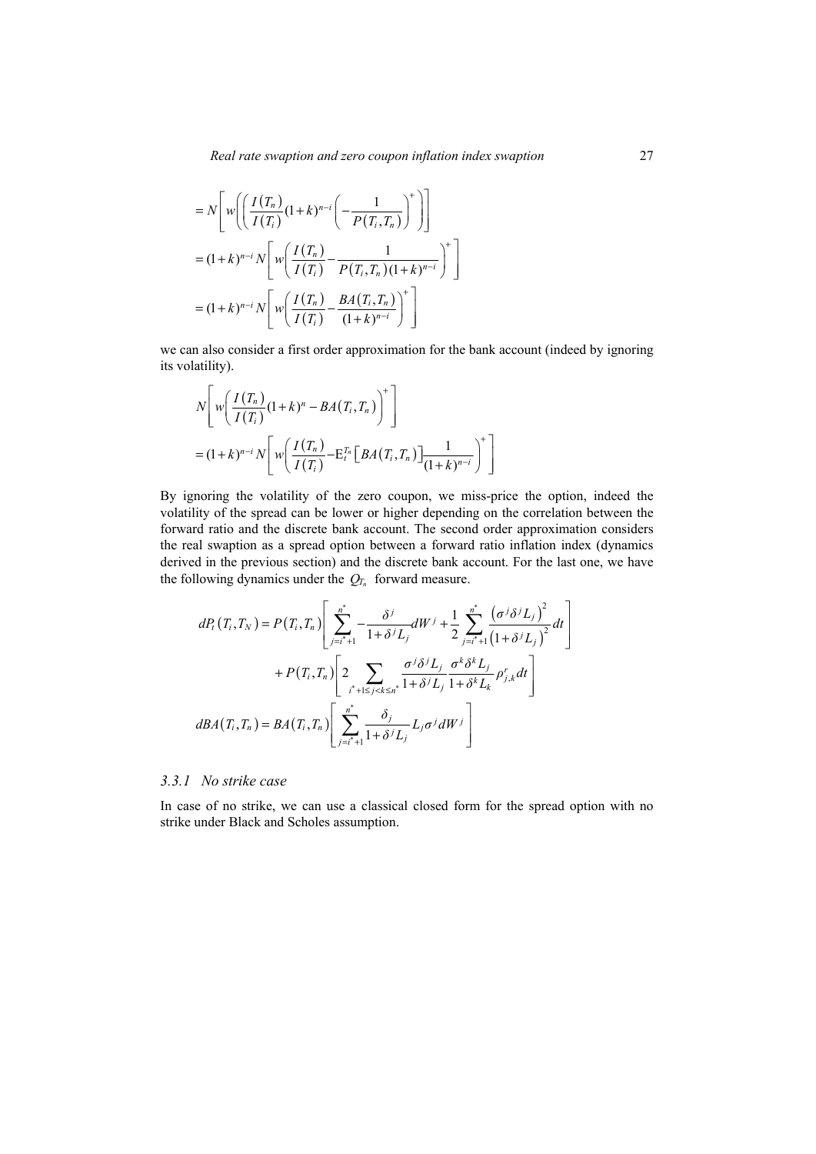$$
= N \left[ w \left( \left( \frac{I(T_n)}{I(T_i)} (1 + k)^{n-i} \left( - \frac{1}{P(T_i, T_n)} \right)^{+} \right) \right] \right]
$$
  
=  $(1 + k)^{n-i} N \left[ w \left( \frac{I(T_n)}{I(T_i)} - \frac{1}{P(T_i, T_n)(1 + k)^{n-i}} \right)^{+} \right]$   
=  $(1 + k)^{n-i} N \left[ w \left( \frac{I(T_n)}{I(T_i)} - \frac{BA(T_i, T_n)}{(1 + k)^{n-i}} \right)^{+} \right]$ 

we can also consider a first order approximation for the bank account (indeed by ignoring its volatility).

$$
N\left[w\left(\frac{I(T_n)}{I(T_i)}(1+k)^n - BA(T_i, T_n)\right)^+\right]
$$
  
=  $(1+k)^{n-i} N\left[w\left(\frac{I(T_n)}{I(T_i)} - E_t^{T_n} \left[BA(T_i, T_n)\right] \frac{1}{(1+k)^{n-i}}\right)^+\right]$ 

By ignoring the volatility of the zero coupon, we miss-price the option, indeed the volatility of the spread can be lower or higher depending on the correlation between the forward ratio and the discrete bank account. The second order approximation considers the real swaption as a spread option between a forward ratio inflation index (dynamics derived in the previous section) and the discrete bank account. For the last one, we have the following dynamics under the  $Q_{T_n}$  forward measure.

$$
dP_{i}(T_{i},T_{N}) = P(T_{i},T_{n}) \left[ \sum_{j=i^{*}+1}^{n^{*}} -\frac{\delta^{j}}{1+\delta^{j}L_{j}}dW^{j} + \frac{1}{2} \sum_{j=i^{*}+1}^{n^{*}} \frac{(\sigma^{j}\delta^{j}L_{j})^{2}}{(1+\delta^{j}L_{j})^{2}}dt \right] + P(T_{i},T_{n}) \left[ 2 \sum_{i^{*}+1 \leq j < k \leq n^{*}} \frac{\sigma^{j}\delta^{j}L_{j}}{1+\delta^{j}L_{j}} \frac{\sigma^{k}\delta^{k}L_{j}}{1+\delta^{k}L_{k}} \rho_{j,k}^{r} dt \right]
$$
\n
$$
dBA(T_{i},T_{n}) = BA(T_{i},T_{n}) \left[ \sum_{j=i^{*}+1}^{n^{*}} \frac{\delta_{j}}{1+\delta^{j}L_{j}} L_{j} \sigma^{j} dW^{j} \right]
$$

## *3.3.1 No strike case*

In case of no strike, we can use a classical closed form for the spread option with no strike under Black and Scholes assumption.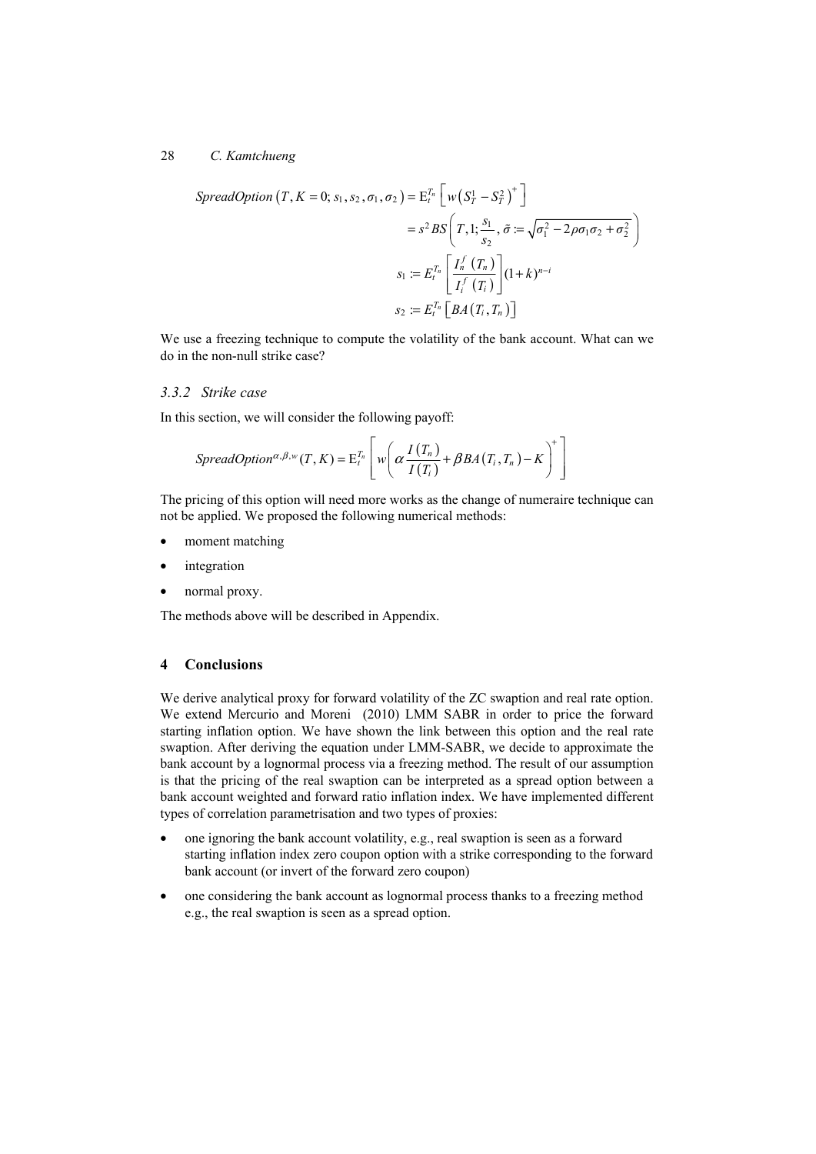$$
SpreadOption(T, K = 0; s1, s2, \sigma1, \sigma2) = EtTn \left[ w(ST1 - ST2)+ \right]
$$
  

$$
= s2 BS \left( T, 1; \frac{s_1}{s_2}, \tilde{\sigma} := \sqrt{\sigma_1^2 - 2\rho \sigma_1 \sigma_2 + \sigma_2^2} \right)
$$
  

$$
s_1 := EtTn \left[ \frac{I_n^f(T_n)}{I_i^f(T_i)} \right] (1 + k)^{n-i}
$$
  

$$
s_2 := EtTn \left[ BA(T_i, T_n) \right]
$$

We use a freezing technique to compute the volatility of the bank account. What can we do in the non-null strike case?

### *3.3.2 Strike case*

In this section, we will consider the following payoff:

$$
SpreadOption^{\alpha,\beta,w}(T,K) = E_t^{T_n} \left[ w \left( \alpha \frac{I(T_n)}{I(T_i)} + \beta BA(T_i,T_n) - K \right)^+ \right]
$$

The pricing of this option will need more works as the change of numeraire technique can not be applied. We proposed the following numerical methods:

- moment matching
- integration
- normal proxy.

The methods above will be described in Appendix.

### **4 Conclusions**

We derive analytical proxy for forward volatility of the ZC swaption and real rate option. We extend Mercurio and Moreni (2010) LMM SABR in order to price the forward starting inflation option. We have shown the link between this option and the real rate swaption. After deriving the equation under LMM-SABR, we decide to approximate the bank account by a lognormal process via a freezing method. The result of our assumption is that the pricing of the real swaption can be interpreted as a spread option between a bank account weighted and forward ratio inflation index. We have implemented different types of correlation parametrisation and two types of proxies:

- one ignoring the bank account volatility, e.g., real swaption is seen as a forward starting inflation index zero coupon option with a strike corresponding to the forward bank account (or invert of the forward zero coupon)
- one considering the bank account as lognormal process thanks to a freezing method e.g., the real swaption is seen as a spread option.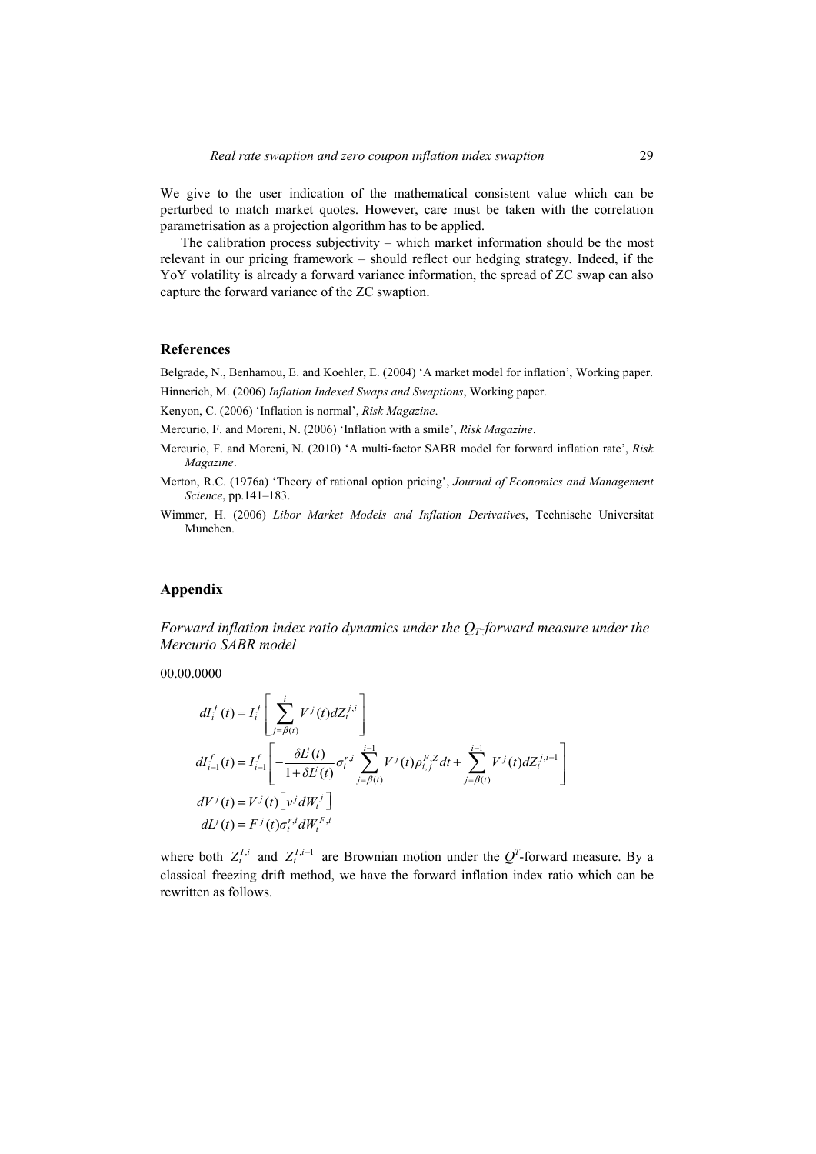We give to the user indication of the mathematical consistent value which can be perturbed to match market quotes. However, care must be taken with the correlation parametrisation as a projection algorithm has to be applied.

The calibration process subjectivity – which market information should be the most relevant in our pricing framework – should reflect our hedging strategy. Indeed, if the YoY volatility is already a forward variance information, the spread of ZC swap can also capture the forward variance of the ZC swaption.

#### **References**

Belgrade, N., Benhamou, E. and Koehler, E. (2004) 'A market model for inflation', Working paper.

Hinnerich, M. (2006) *Inflation Indexed Swaps and Swaptions*, Working paper.

Kenyon, C. (2006) 'Inflation is normal', *Risk Magazine*.

Mercurio, F. and Moreni, N. (2006) 'Inflation with a smile', *Risk Magazine*.

- Mercurio, F. and Moreni, N. (2010) 'A multi-factor SABR model for forward inflation rate', *Risk Magazine*.
- Merton, R.C. (1976a) 'Theory of rational option pricing', *Journal of Economics and Management Science*, pp.141–183.
- Wimmer, H. (2006) *Libor Market Models and Inflation Derivatives*, Technische Universitat Munchen.

#### **Appendix**

*Forward inflation index ratio dynamics under the*  $Q_T$ *-forward measure under the Mercurio SABR model* 

00.00.0000

$$
dI_i^f(t) = I_i^f \left[ \sum_{j=\beta(t)}^i V^j(t) dZ_i^{j,i} \right]
$$
  
\n
$$
dI_{i-1}^f(t) = I_{i-1}^f \left[ -\frac{\delta L^i(t)}{1 + \delta L^i(t)} \sigma_i^{r,i} \sum_{j=\beta(t)}^{i-1} V^j(t) \rho_{i,j}^{F,Z} dt + \sum_{j=\beta(t)}^{i-1} V^j(t) dZ_i^{j,i-1} \right]
$$
  
\n
$$
dV^j(t) = V^j(t) \left[ v^j dW_i^j \right]
$$
  
\n
$$
dL^j(t) = F^j(t) \sigma_i^{r,i} dW_i^{F,i}
$$

where both  $Z_t^{I,i}$  and  $Z_t^{I,i-1}$  are Brownian motion under the  $Q^T$ -forward measure. By a classical freezing drift method, we have the forward inflation index ratio which can be rewritten as follows.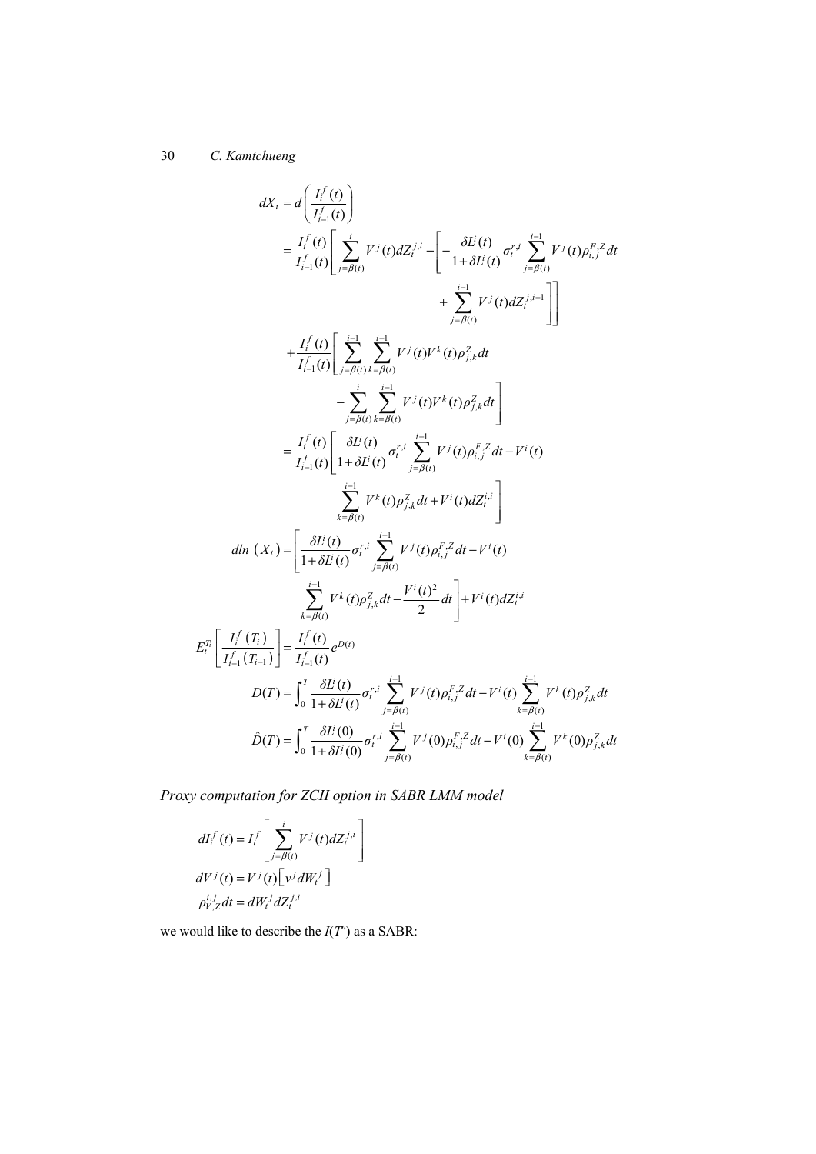$$
dX_{t} = d\left(\frac{I_{i}^{f}(t)}{I_{i-1}^{f}(t)}\right)
$$
\n
$$
= \frac{I_{i}^{f}(t)}{I_{i-1}^{f}(t)}\left[\sum_{j=\beta(t)}^{t} V^{j}(t) dZ_{i}^{j,i} - \left[-\frac{\delta L^{i}(t)}{1+\delta L^{i}(t)} \sigma_{i}^{r,i} \sum_{j=\beta(t)}^{t-1} V^{j}(t) \rho_{i,j}^{F,Z} dt + \sum_{j=\beta(t)}^{t-1} V^{j}(t) dZ_{i}^{j,i-1}\right]\right]
$$
\n
$$
+ \frac{I_{i}^{f}(t)}{I_{i-1}^{f}(t)}\left[\sum_{j=\beta(t)}^{t-1} \sum_{k=\beta(t)}^{i-1} V^{j}(t) V^{k}(t) \rho_{j,k}^{Z} dt - \frac{\sum_{j=\beta(t)}^{t} V^{j}(t) V^{k}(t) \rho_{j,k}^{Z} dt}{\sum_{j=\beta(t)}^{t} \rho_{i}(t) \rho_{i,j}^{F,Z} dt - V^{i}(t)\right]
$$
\n
$$
= \frac{I_{i}^{f}(t)}{I_{i-1}^{f}(t)}\left[\frac{\delta L^{i}(t)}{1+\delta L^{i}(t)} \sigma_{i}^{r,i} \sum_{j=\beta(t)}^{i-1} V^{j}(t) \rho_{i,j}^{F,Z} dt - V^{i}(t)\right]
$$
\n
$$
= \frac{\sum_{k=\beta(t)}^{t} V^{k}(t) \rho_{j,k}^{Z} dt + V^{i}(t) dZ_{i}^{i,i}}{\sum_{k=\beta(t)}^{t} V^{k}(t) \rho_{j,k}^{F,Z} dt - V^{i}(t)}
$$
\n
$$
\sum_{k=\beta(t)}^{t-1} V^{k}(t) \rho_{j,k}^{Z} dt - \frac{V^{i}(t)^{2}}{2} dt\right] + V^{i}(t) dZ_{i}^{i,i}
$$
\n
$$
E_{i}^{T} \left[\frac{I_{i}^{f}(T_{i})}{I_{i-1}^{f}(T_{i-1})}\right] = \frac{I_{i}^{f}(t)}{I_{i-1}^{f}(t)} e^{p(t)}
$$
\n
$$
D(T) = \int_{0}^{T} \frac{\delta L^{i}(t)}{1+\delta L^{i}(t)} \sigma_{i}^{r,i} \sum_{j=\beta
$$

*Proxy computation for ZCII option in SABR LMM model* 

$$
dI_i^f(t) = I_i^f \left[ \sum_{j=\beta(t)}^i V^j(t) dZ_i^{j,i} \right]
$$
  
\n
$$
dV^j(t) = V^j(t) \left[ v^j dW_i^j \right]
$$
  
\n
$$
\rho_{V,Z}^{i,j} dt = dW_i^j dZ_i^{j,i}
$$

we would like to describe the  $I(T^n)$  as a SABR: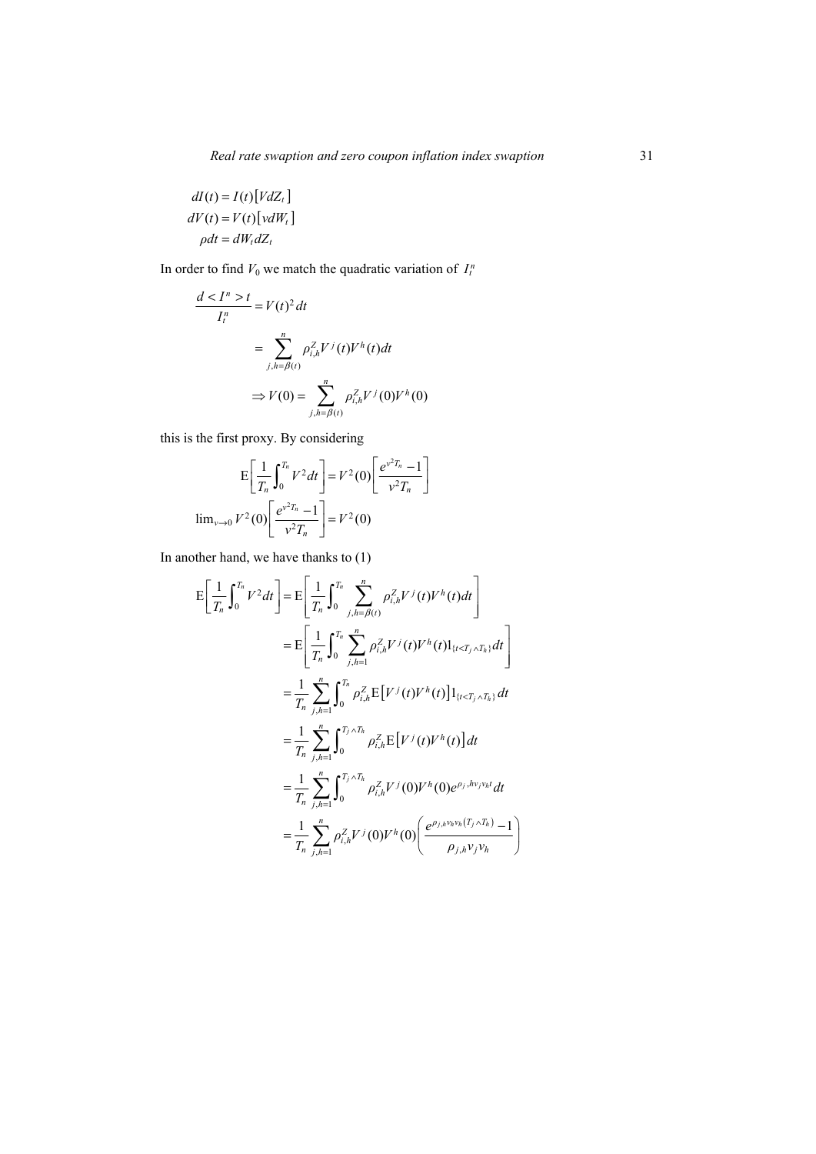$$
dI(t) = I(t)[VdZ_t]
$$
  
\n
$$
dV(t) = V(t)[vdW_t]
$$
  
\n
$$
\rho dt = dW_t dZ_t
$$

In order to find  $V_0$  we match the quadratic variation of  $I_t^n$ 

$$
\frac{d < I^n > t}{I^n_i} = V(t)^2 dt
$$
\n
$$
= \sum_{j,h=\beta(t)}^n \rho_{i,h}^2 V^j(t) V^h(t) dt
$$
\n
$$
\Rightarrow V(0) = \sum_{j,h=\beta(t)}^n \rho_{i,h}^2 V^j(0) V^h(0)
$$

this is the first proxy. By considering

$$
E\left[\frac{1}{T_n}\int_0^{T_n} V^2 dt\right] = V^2(0)\left[\frac{e^{v^2 T_n} - 1}{v^2 T_n}\right]
$$

$$
\lim_{v \to 0} V^2(0) \left[\frac{e^{v^2 T_n} - 1}{v^2 T_n}\right] = V^2(0)
$$

In another hand, we have thanks to (1)

$$
E\left[\frac{1}{T_n}\int_0^{T_n} V^2 dt\right] = E\left[\frac{1}{T_n}\int_0^{T_n} \sum_{j,h=\beta(t)}^n \rho_{i,h}^2 V^j(t)V^h(t)dt\right]
$$
  
\n
$$
= E\left[\frac{1}{T_n}\int_0^{T_n} \sum_{j,h=1}^n \rho_{i,h}^2 V^j(t)V^h(t)1_{\{t  
\n
$$
= \frac{1}{T_n}\sum_{j,h=1}^n \int_0^{T_n} \rho_{i,h}^2 E[V^j(t)V^h(t)]1_{\{t  
\n
$$
= \frac{1}{T_n}\sum_{j,h=1}^n \int_0^{T_j\wedge T_h} \rho_{i,h}^2 E[V^j(t)V^h(t)]dt
$$
  
\n
$$
= \frac{1}{T_n}\sum_{j,h=1}^n \int_0^{T_j\wedge T_h} \rho_{i,h}^2 V^j(0)V^h(0)e^{\rho_j, hv_jv_h t}dt
$$
  
\n
$$
= \frac{1}{T_n}\sum_{j,h=1}^n \rho_{i,h}^2 V^j(0)V^h(0)\left(\frac{e^{\rho_{j,h}v_hv_h(T_j\wedge T_h)}-1}{\rho_{j,h}v_jv_h}\right)
$$
$$
$$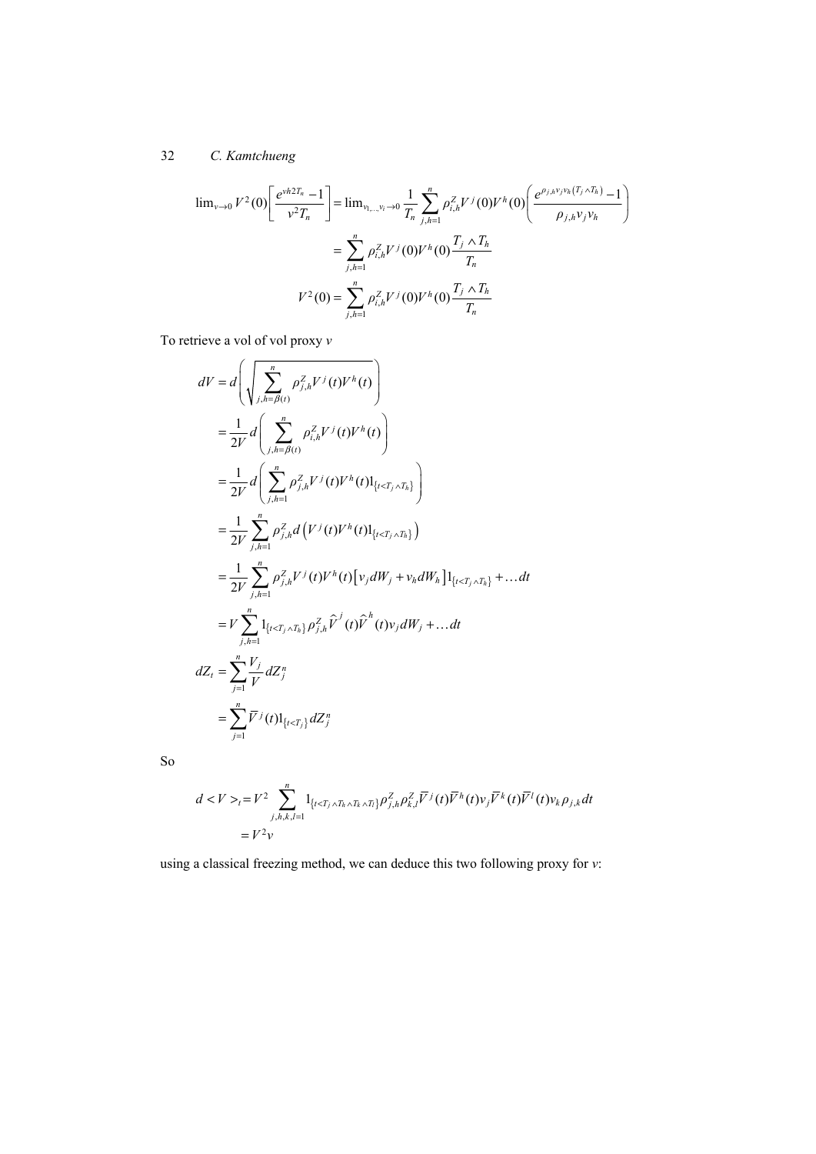$$
\lim_{v \to 0} V^2(0) \left[ \frac{e^{vh2T_n} - 1}{v^2 T_n} \right] = \lim_{v_{1...}, v_i \to 0} \frac{1}{T_n} \sum_{j,h=1}^n \rho_{i,h}^Z V^j(0) V^h(0) \left( \frac{e^{\rho_{j,h} v_j v_h(T_j \wedge T_h)} - 1}{\rho_{j,h} v_j v_h} \right)
$$

$$
= \sum_{j,h=1}^n \rho_{i,h}^Z V^j(0) V^h(0) \frac{T_j \wedge T_h}{T_n}
$$

$$
V^2(0) = \sum_{j,h=1}^n \rho_{i,h}^Z V^j(0) V^h(0) \frac{T_j \wedge T_h}{T_n}
$$

To retrieve a vol of vol proxy *v*

$$
dV = d\left(\sqrt{\sum_{j,h=\beta(t)}^{n} \rho_{j,h}^{2} V^{j}(t) V^{h}(t)}\right)
$$
  
\n
$$
= \frac{1}{2V} d\left(\sum_{j,h=\beta(t)}^{n} \rho_{i,h}^{2} V^{j}(t) V^{h}(t)\right)
$$
  
\n
$$
= \frac{1}{2V} d\left(\sum_{j,h=1}^{n} \rho_{j,h}^{2} V^{j}(t) V^{h}(t) 1_{\{t < T_{j} \wedge T_{h}\}}\right)
$$
  
\n
$$
= \frac{1}{2V} \sum_{j,h=1}^{n} \rho_{j,h}^{2} d\left(V^{j}(t) V^{h}(t) 1_{\{t < T_{j} \wedge T_{h}\}}\right)
$$
  
\n
$$
= \frac{1}{2V} \sum_{j,h=1}^{n} \rho_{j,h}^{2} V^{j}(t) V^{h}(t) [v_{j} dW_{j} + v_{h} dW_{h}] 1_{\{t < T_{j} \wedge T_{h}\}} + ... dt
$$
  
\n
$$
= V \sum_{j,h=1}^{n} 1_{\{t < T_{j} \wedge T_{h}\}} \rho_{j,h}^{2} \hat{V}^{j}(t) \hat{V}^{h}(t) v_{j} dW_{j} + ... dt
$$
  
\n
$$
dZ_{t} = \sum_{j=1}^{n} \frac{V_{j}}{V} dZ_{j}^{n}
$$
  
\n
$$
= \sum_{j=1}^{n} \overline{V}^{j}(t) 1_{\{t < T_{j}\}} dZ_{j}^{n}
$$

So

$$
d < V>_{t} = V^{2} \sum_{j,h,k,l=1}^{n} 1_{\left\{t < T_{j} \land T_{h} \land T_{k} \land T_{l}\right\}} \rho_{j,h}^{Z} \rho_{k,l}^{Z} \overline{V}^{j}(t) \overline{V}^{h}(t) v_{j} \overline{V}^{k}(t) \overline{V}^{l}(t) v_{k} \rho_{j,k} dt
$$
  
=  $V^{2}v$ 

using a classical freezing method, we can deduce this two following proxy for *v*: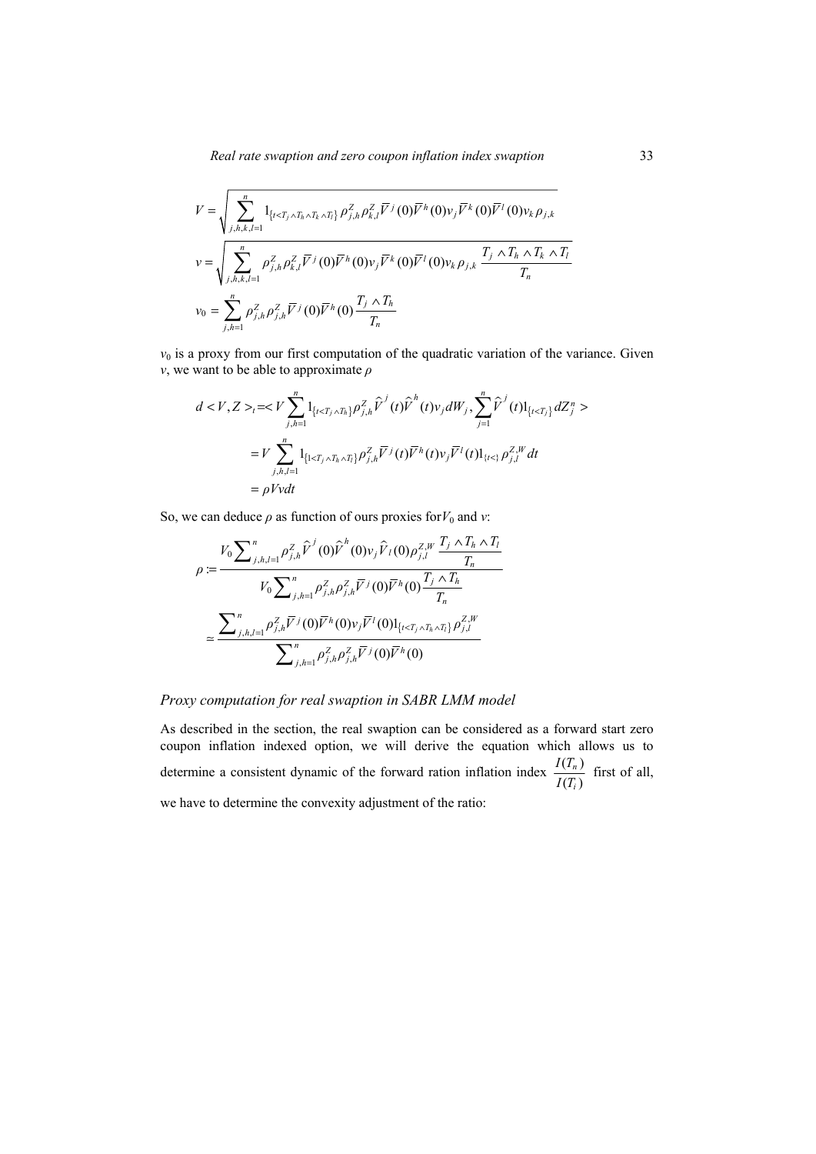$$
V = \sqrt{\sum_{j,h,k,l=1}^{n} 1_{\{t < T_j \land T_h \land T_k \land T_l\}} \rho_{j,h}^Z \rho_{k,l}^Z \overline{V}^j(0) \overline{V}^h(0) v_j \overline{V}^k(0) \overline{V}^l(0) v_k \rho_{j,k}}
$$
  

$$
v = \sqrt{\sum_{j,h,k,l=1}^{n} \rho_{j,h}^Z \rho_{k,l}^Z \overline{V}^j(0) \overline{V}^h(0) v_j \overline{V}^k(0) \overline{V}^l(0) v_k \rho_{j,k} \frac{T_j \land T_h \land T_k \land T_l}{T_n}}
$$
  

$$
v_0 = \sum_{j,h=1}^{n} \rho_{j,h}^Z \rho_{j,h}^Z \overline{V}^j(0) \overline{V}^h(0) \frac{T_j \land T_h}{T_n}
$$

 $v<sub>0</sub>$  is a proxy from our first computation of the quadratic variation of the variance. Given *v*, we want to be able to approximate *ρ*

$$
\begin{aligned} d < V, Z >_{t} = < V \sum_{j,h=1}^{n} \mathbf{1}_{\{t < T_{j} \wedge T_{h}\}} \rho_{j,h}^{Z} \widehat{V}^{j}(t) \widehat{V}^{h}(t) v_{j} dW_{j}, \sum_{j=1}^{n} \widehat{V}^{j}(t) \mathbf{1}_{\{t < T_{j}\}} dZ_{j}^{n} > \\ &= V \sum_{j,h,l=1}^{n} \mathbf{1}_{\{1 < T_{j} \wedge T_{h} \wedge T_{l}\}} \rho_{j,h}^{Z} \widehat{V}^{j}(t) \widehat{V}^{h}(t) v_{j} \widehat{V}^{l}(t) \mathbf{1}_{\{t < \}} \rho_{j,l}^{Z,W} dt \\ &= \rho V \mathbf{v} dt \end{aligned}
$$

So, we can deduce  $\rho$  as function of ours proxies for  $V_0$  and  $v$ :

$$
\rho := \frac{V_0 \sum_{j,h,l=1}^n \rho_{j,h}^Z \hat{V}^j(0) \hat{V}^h(0) v_j \hat{V}_l(0) \rho_{j,l}^{Z,W} \frac{T_j \wedge T_h \wedge T_l}{T_n}}{V_0 \sum_{j,h=1}^n \rho_{j,h}^Z \rho_{j,h}^Z \bar{V}^j(0) \bar{V}^h(0) \frac{T_j \wedge T_h}{T_n}}
$$

$$
\approx \frac{\sum_{j,h,l=1}^n \rho_{j,h}^Z \bar{V}^j(0) \bar{V}^h(0) v_j \bar{V}^l(0) 1_{\{t < T_j \wedge T_h \wedge T_l\}} \rho_{j,l}^{Z,W}}{\sum_{j,h=1}^n \rho_{j,h}^Z \rho_{j,h}^Z \bar{V}^j(0) \bar{V}^h(0)}
$$

*Proxy computation for real swaption in SABR LMM model* 

As described in the section, the real swaption can be considered as a forward start zero coupon inflation indexed option, we will derive the equation which allows us to determine a consistent dynamic of the forward ration inflation index  $\frac{I(T_n)}{I(T_i)}$ *n i*  $\frac{I(T_n)}{I(T_i)}$  first of all, we have to determine the convexity adjustment of the ratio: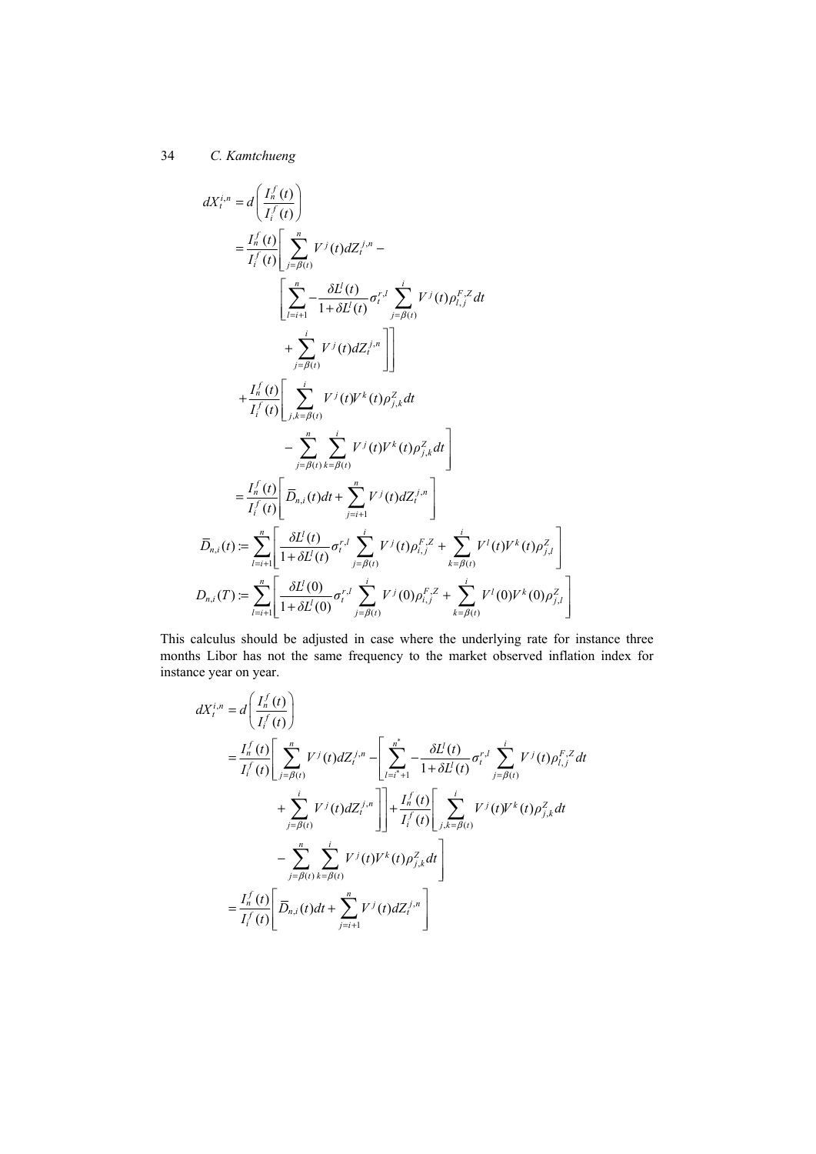$$
dX_t^{i,n} = d\left(\frac{I_n^f(t)}{I_i^f(t)}\right)
$$
  
\n
$$
= \frac{I_n^f(t)}{I_i^f(t)} \left[\sum_{j=\beta(t)}^n V^j(t) dZ_t^{j,n} - \sum_{j=\beta(t)}^n V^j(t) dZ_t^{j,n} - \sum_{j=\beta(t)}^n V^j(t) dZ_t^{j,n} \right]
$$
  
\n
$$
+ \sum_{j=\beta(t)}^n V^j(t) dZ_t^{j,n} \right]
$$
  
\n
$$
+ \frac{I_n^f(t)}{I_i^f(t)} \left[\sum_{j,k=\beta(t)}^n V^j(t) V^k(t) \rho_{j,k}^2 dt - \sum_{j=\beta(t)}^n \sum_{k=\beta(t)}^n V^j(t) V^k(t) \rho_{j,k}^2 dt \right]
$$
  
\n
$$
= \frac{I_n^f(t)}{I_i^f(t)} \left[\overline{D}_{n,i}(t) dt + \sum_{j=i+1}^n V^j(t) dZ_t^{j,n} \right]
$$
  
\n
$$
\overline{D}_{n,i}(t) := \sum_{l=i+1}^n \left[\frac{\delta L^l(t)}{1 + \delta L^l(t)} \sigma_t^{r,l} \sum_{j=\beta(t)}^i V^j(t) \rho_{i,j}^{F,Z} + \sum_{k=\beta(t)}^i V^l(t) V^k(t) \rho_{j,l}^Z \right]
$$
  
\n
$$
D_{n,i}(T) := \sum_{l=i+1}^n \left[\frac{\delta L^l(0)}{1 + \delta L^l(0)} \sigma_t^{r,l} \sum_{j=\beta(t)}^i V^j(0) \rho_{i,j}^{F,Z} + \sum_{k=\beta(t)}^i V^l(0) V^k(0) \rho_{j,l}^Z \right]
$$

This calculus should be adjusted in case where the underlying rate for instance three months Libor has not the same frequency to the market observed inflation index for instance year on year.

$$
dX_t^{i,n} = d\left(\frac{I_n^f(t)}{I_i^f(t)}\right)
$$
  
\n
$$
= \frac{I_n^f(t)}{I_i^f(t)} \left[\sum_{j=\beta(t)}^n V^j(t) dZ_t^{j,n} - \left[\sum_{l=i^*+1}^{n^*} -\frac{\delta L^l(t)}{1+\delta L^l(t)} \sigma_t^{r,l} \sum_{j=\beta(t)}^t V^j(t) \rho_{i,j}^{F,Z} dt + \sum_{j=\beta(t)}^t V^j(t) dZ_t^{j,n} \right] \right] + \frac{I_n^f(t)}{I_i^f(t)} \left[\sum_{j,k=\beta(t)}^t V^j(t) V^k(t) \rho_{j,k}^Z dt - \sum_{j=\beta(t)}^n \sum_{k=\beta(t)}^t V^j(t) V^k(t) \rho_{j,k}^Z dt \right]
$$
  
\n
$$
= \frac{I_n^f(t)}{I_i^f(t)} \left[\overline{D}_{n,i}(t) dt + \sum_{j=i+1}^n V^j(t) dZ_t^{j,n} \right]
$$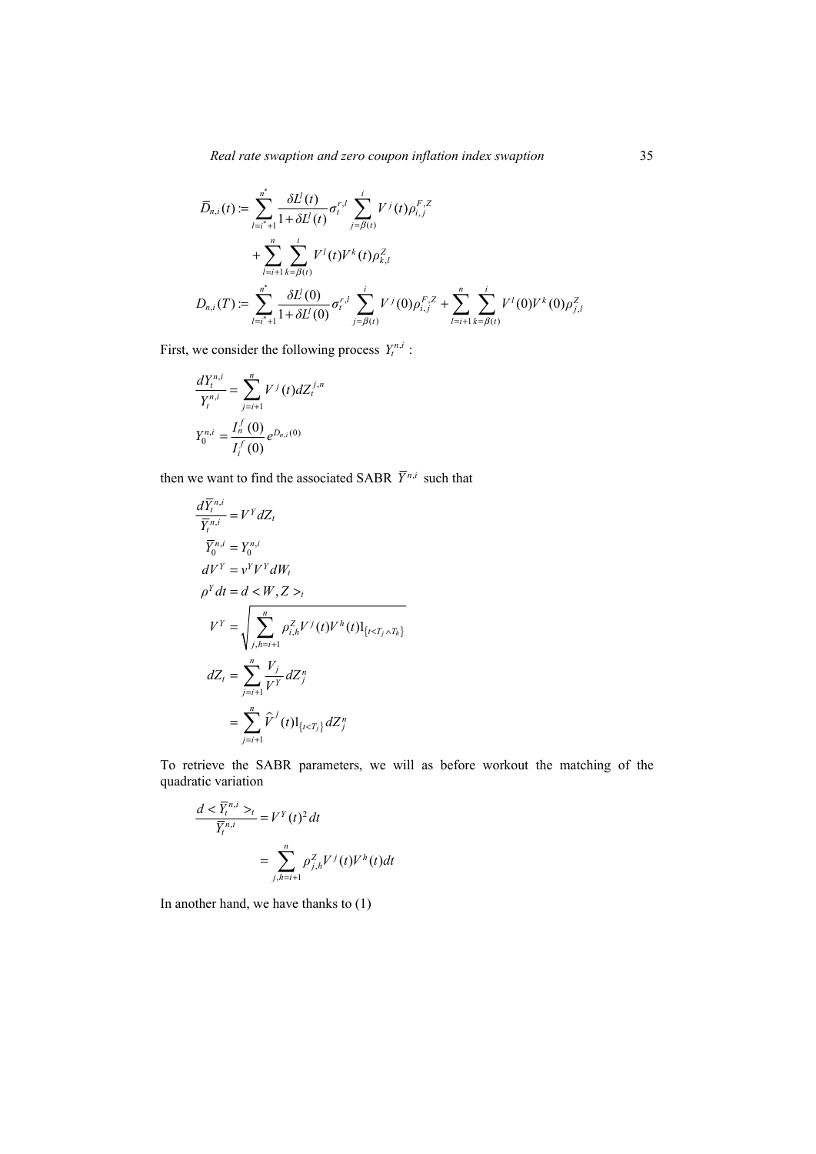$$
\bar{D}_{n,i}(t) := \sum_{l=i^*+1}^{n^*} \frac{\delta L^l(t)}{1 + \delta L^l(t)} \sigma_i^{r,l} \sum_{j=\beta(t)}^i V^j(t) \rho_{i,j}^{F,Z}
$$
\n
$$
+ \sum_{l=i+1}^n \sum_{k=\beta(t)}^i V^l(t) V^k(t) \rho_{k,l}^Z
$$
\n
$$
D_{n,i}(T) := \sum_{l=i^*+1}^{n^*} \frac{\delta L^l(0)}{1 + \delta L^l(0)} \sigma_i^{r,l} \sum_{j=\beta(t)}^i V^j(0) \rho_{i,j}^{F,Z} + \sum_{l=i+1}^n \sum_{k=\beta(t)}^i V^l(0) V^k(0) \rho_{j,l}^Z
$$

First, we consider the following process  $Y_t^{n,i}$  :

$$
\frac{dY_t^{n,i}}{Y_t^{n,i}} = \sum_{j=i+1}^n V^j(t) dZ_t^{j,n}
$$

$$
Y_0^{n,i} = \frac{I_n^f(0)}{I_i^f(0)} e^{D_{n,i}(0)}
$$

then we want to find the associated SABR  $\overline{Y}^{n,i}$  such that

$$
\frac{d\overline{Y}_{t}^{n,i}}{\overline{Y}_{t}^{n,i}} = V^{Y} dZ_{t}
$$
\n
$$
\overline{Y}_{0}^{n,i} = Y_{0}^{n,i}
$$
\n
$$
dV^{Y} = v^{Y} V^{Y} dW_{t}
$$
\n
$$
\rho^{Y} dt = d < W, Z >_{t}
$$
\n
$$
V^{Y} = \sqrt{\sum_{j,h=i+1}^{n} \rho_{i,h}^{Z} V^{j}(t) V^{h}(t) 1_{\{t < T_{j} \wedge T_{h}\}}}
$$
\n
$$
dZ_{t} = \sum_{j=i+1}^{n} \frac{V_{j}}{V^{Y}} dZ_{j}^{n}
$$
\n
$$
= \sum_{j=i+1}^{n} \widehat{V}^{j}(t) 1_{\{t < T_{j}\}} dZ_{j}^{n}
$$

To retrieve the SABR parameters, we will as before workout the matching of the quadratic variation

$$
\frac{d < \overline{Y}_t^{n,i} >_{t}}{\overline{Y}_t^{n,i}} = V^Y(t)^2 dt
$$
\n
$$
= \sum_{j,h=i+1}^n \rho_{j,h}^Z V^j(t) V^h(t) dt
$$

In another hand, we have thanks to (1)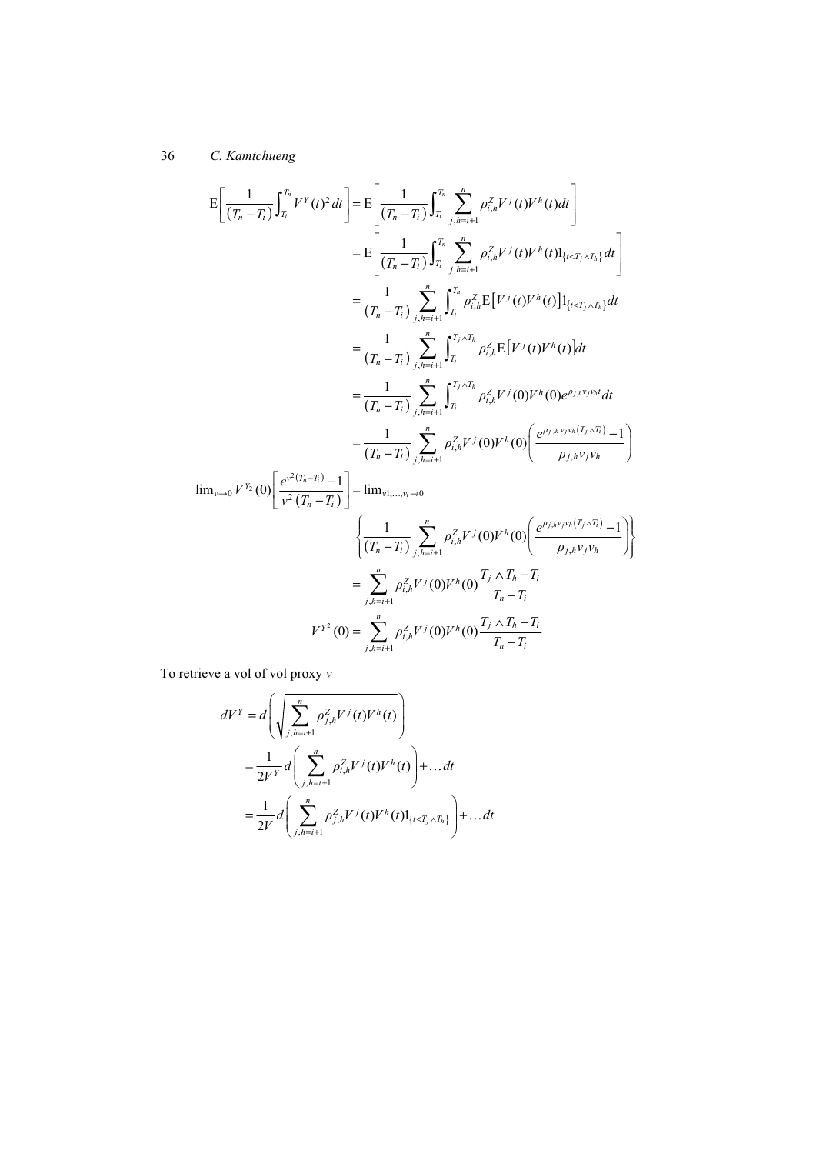$$
E\left[\frac{1}{(T_n-T_i)}\int_{T_i}^{T_n} V^{Y}(t)^2 dt\right] = E\left[\frac{1}{(T_n-T_i)}\int_{T_i}^{T_n} \sum_{j,h=i+1}^{n} \rho_{i,h}^{Z} V^{j}(t) V^{h}(t) dt\right]
$$
  
\n
$$
= E\left[\frac{1}{(T_n-T_i)}\int_{T_i}^{T_n} \sum_{j,h=i+1}^{n} \rho_{i,h}^{Z} V^{j}(t) V^{h}(t) I_{\{t \le T_j \land T_h\}} dt\right]
$$
  
\n
$$
= \frac{1}{(T_n-T_i)} \sum_{j,h=i+1}^{n} \int_{T_i}^{T_n} \rho_{i,h}^{Z} E[V^{j}(t) V^{h}(t)] I_{\{t \le T_j \land T_h\}} dt
$$
  
\n
$$
= \frac{1}{(T_n-T_i)} \sum_{j,h=i+1}^{n} \int_{T_i}^{T_j \land T_h} \rho_{i,h}^{Z} E[V^{j}(t) V^{h}(t)] dt
$$
  
\n
$$
= \frac{1}{(T_n-T_i)} \sum_{j,h=i+1}^{n} \int_{T_i}^{T_j \land T_h} \rho_{i,h}^{Z} V^{j}(0) V^{h}(0) e^{\rho_{j,h} V_{j} V_{h}} dt
$$
  
\n
$$
= \frac{1}{(T_n-T_i)} \sum_{j,h=i+1}^{n} \rho_{i,h}^{Z} V^{j}(0) V^{h}(0) \left(\frac{e^{\rho_{j,h} V_{j} V_{h}(T_j \land T_i)} - 1}{\rho_{j,h} V_{j} V_{h}}\right)
$$
  
\n
$$
\lim_{v \to 0} V^{Y_2}(0) \left[\frac{e^{v^2(T_n-T_i)} - 1}{v^2(T_n-T_i)}\right] = \lim_{v,1,\dots,v_i \to 0} 0
$$
  
\n
$$
\left\{\frac{1}{(T_n-T_i)} \sum_{j,h=i+1}^{n} \rho_{i,h}^{Z} V^{j}(0) V^{h}(0) \left(\frac{e^{\rho_{j,h} V_{j} V_{h}(T_j \land T_i)}{\rho_{j,h} V_{j} V_{h}}\right)\right\}
$$
  
\n
$$
= \sum_{j,h=i+1}^{n} \rho_{i,h}^{Z} V^{j}(0) V^{h}(
$$

To retrieve a vol of vol proxy *v* 

$$
dV^{Y} = d\left(\sqrt{\sum_{j,h=i+1}^{n} \rho_{j,h}^{Z} V^{j}(t)V^{h}(t)}\right)
$$
  
= 
$$
\frac{1}{2V^{Y}} d\left(\sum_{j,h=i+1}^{n} \rho_{i,h}^{Z} V^{j}(t)V^{h}(t)\right) + ... dt
$$
  
= 
$$
\frac{1}{2V} d\left(\sum_{j,h=i+1}^{n} \rho_{j,h}^{Z} V^{j}(t)V^{h}(t)1_{\{t < T_{j} \wedge T_{h}\}}\right) + ... dt
$$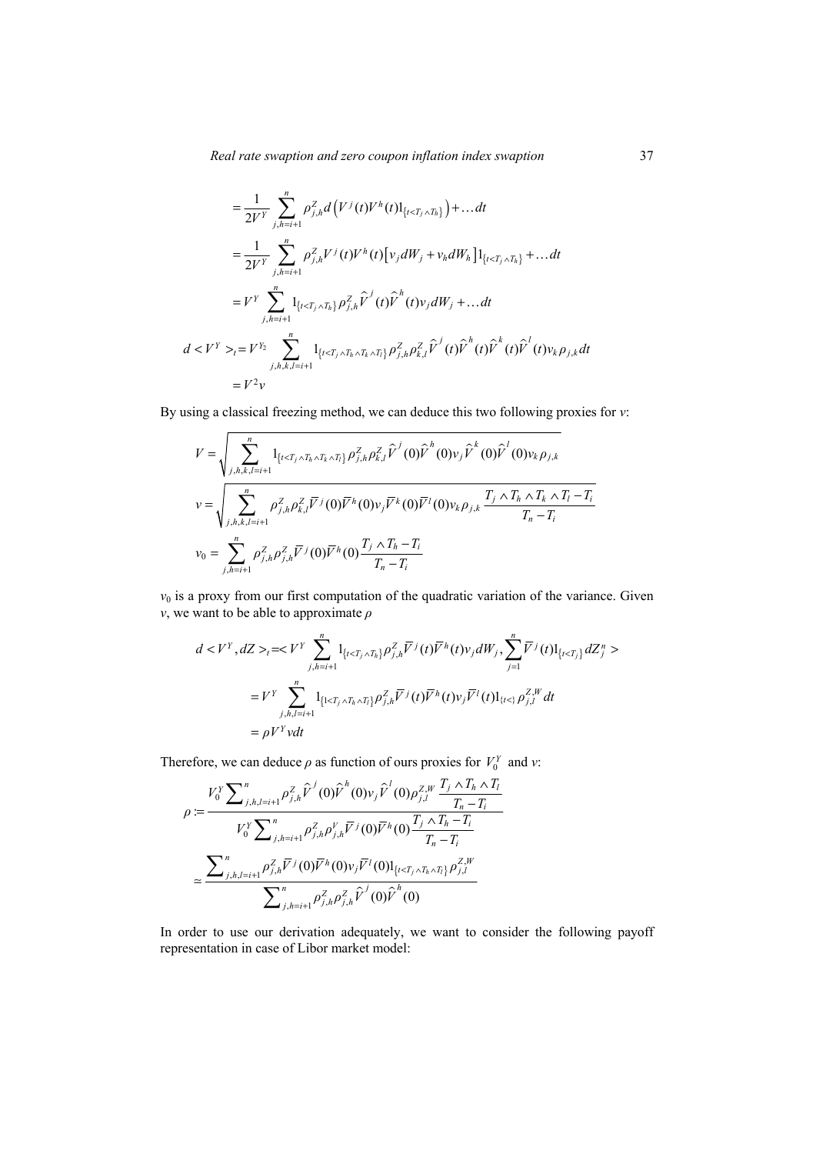$$
= \frac{1}{2V^{Y}} \sum_{j,h=i+1}^{n} \rho_{j,h}^{Z} d\left(V^{j}(t)V^{h}(t)1_{\{t < T_{j} \land T_{h}\}}\right) + ...dt
$$
  
\n
$$
= \frac{1}{2V^{Y}} \sum_{j,h=i+1}^{n} \rho_{j,h}^{Z} V^{j}(t)V^{h}(t) \left[v_{j}dW_{j} + v_{h}dW_{h}\right]1_{\{t < T_{j} \land T_{h}\}} + ...dt
$$
  
\n
$$
= V^{Y} \sum_{j,h=i+1}^{n} 1_{\{t < T_{j} \land T_{h}\}} \rho_{j,h}^{Z} \hat{V}^{j}(t) \hat{V}^{h}(t)v_{j}dW_{j} + ...dt
$$
  
\n
$$
d < V^{Y} >_{t} = V^{Y_{2}} \sum_{j,h,k,l=i+1}^{n} 1_{\{t < T_{j} \land T_{h} \land T_{k} \land T_{l}\}} \rho_{j,h}^{Z} \rho_{k,l}^{Z} \hat{V}^{j}(t) \hat{V}^{h}(t) \hat{V}^{k}(t) \hat{V}^{l}(t)v_{k}\rho_{j,k}dt
$$
  
\n
$$
= V^{2}v
$$

By using a classical freezing method, we can deduce this two following proxies for *v*:

$$
V = \sqrt{\sum_{j,h,k,l=i+1}^{n} 1_{\{i < T_j \land T_h \land T_k \land T_l\}} \rho_{j,h}^2 \rho_{k,l}^2 \hat{V}^j(0) \hat{V}^h(0) v_j \hat{V}^k(0) \hat{V}^l(0) v_k \rho_{j,k}}
$$
\n
$$
v = \sqrt{\sum_{j,h,k,l=i+1}^{n} \rho_{j,h}^2 \rho_{k,l}^2 \bar{V}^j(0) \bar{V}^h(0) v_j \bar{V}^k(0) \bar{V}^l(0) v_k \rho_{j,k} \frac{T_j \land T_h \land T_k \land T_l - T_i}{T_n - T_i}}
$$
\n
$$
v_0 = \sum_{j,h=i+1}^{n} \rho_{j,h}^2 \rho_{j,h}^2 \bar{V}^j(0) \bar{V}^h(0) \frac{T_j \land T_h - T_i}{T_n - T_i}
$$

 $v<sub>0</sub>$  is a proxy from our first computation of the quadratic variation of the variance. Given *v*, we want to be able to approximate *ρ*

$$
d < V^{Y}, dZ >_{t} = < V^{Y} \sum_{j,h=i+1}^{n} 1_{\{t < T_{j} \land T_{h}\}} \rho_{j,h}^{Z} \overline{V}^{j}(t) \overline{V}^{h}(t) v_{j} dW_{j}, \sum_{j=1}^{n} \overline{V}^{j}(t) 1_{\{t < T_{j}\}} dZ_{j}^{n} > = V^{Y} \sum_{j,h,l=i+1}^{n} 1_{\{1 < T_{j} \land T_{h} \land T_{l}\}} \rho_{j,h}^{Z} \overline{V}^{j}(t) \overline{V}^{h}(t) v_{j} \overline{V}^{l}(t) 1_{\{t < j\}} \rho_{j,l}^{Z,W} dt = \rho V^{Y} v dt
$$

Therefore, we can deduce  $\rho$  as function of ours proxies for  $V_0^Y$  and  $v$ :

$$
\rho := \frac{V_0^Y \sum_{j,h,l=i+1}^n \rho_{j,h}^Z \hat{V}^j(0) \hat{V}^h(0) v_j \hat{V}^l(0) \rho_{j,l}^{Z,W} \frac{T_j \wedge T_h \wedge T_l}{T_n - T_i}
$$
  

$$
V_0^Y \sum_{j,h=i+1}^n \rho_{j,h}^Z \rho_{j,h}^Y \bar{V}^j(0) \bar{V}^h(0) \frac{T_j \wedge T_h - T_i}{T_n - T_i}
$$
  

$$
\approx \frac{\sum_{j,h,l=i+1}^n \rho_{j,h}^Z \bar{V}^j(0) \bar{V}^h(0) v_j \bar{V}^l(0) 1_{\{t < T_j \wedge T_h \wedge T_l\}} \rho_{j,l}^{Z,W}}{\sum_{j,h=i+1}^n \rho_{j,h}^Z \rho_{j,h}^Z \hat{V}^j(0) \hat{V}^h(0)}
$$

In order to use our derivation adequately, we want to consider the following payoff representation in case of Libor market model: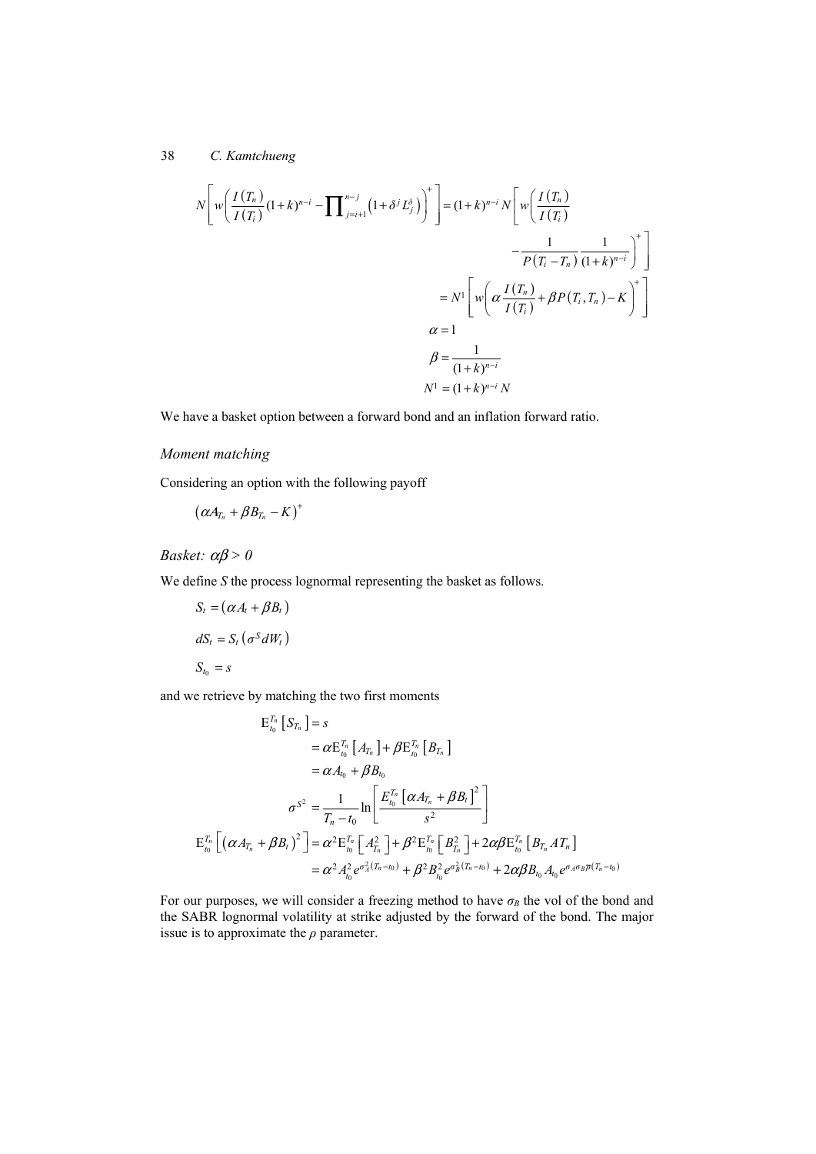$$
N\left[w\left(\frac{I(T_n)}{I(T_i)}(1+k)^{n-i} - \prod_{j=i+1}^{n-j} (1+\delta^j L_j^{\delta})\right)^{+}\right] = (1+k)^{n-i} N\left[w\left(\frac{I(T_n)}{I(T_i)} - \frac{1}{P(T_i - T_n)}\frac{1}{(1+k)^{n-i}}\right)^{+}\right]
$$
  

$$
= N^1\left[w\left(\alpha \frac{I(T_n)}{I(T_i)} + \beta P(T_i, T_n) - K\right)^{+}\right]
$$
  

$$
\alpha = 1
$$
  

$$
\beta = \frac{1}{(1+k)^{n-i}}
$$
  

$$
N^1 = (1+k)^{n-i} N
$$

We have a basket option between a forward bond and an inflation forward ratio.

## *Moment matching*

Considering an option with the following payoff

$$
\big(\alpha A_{T_n}+\beta B_{T_n}-K\big)^+
$$

*Basket:* αβ *> 0* 

We define *S* the process lognormal representing the basket as follows.

$$
S_t = (\alpha A_t + \beta B_t)
$$
  

$$
dS_t = S_t (\sigma^S dW_t)
$$
  

$$
S_{t_0} = s
$$

and we retrieve by matching the two first moments

$$
E_{t_0}^{T_n} [S_{T_n}] = s
$$
  
\n
$$
= \alpha E_{t_0}^{T_n} [A_{T_n}] + \beta E_{t_0}^{T_n} [B_{T_n}]
$$
  
\n
$$
= \alpha A_{t_0} + \beta B_{t_0}
$$
  
\n
$$
\sigma^{S^2} = \frac{1}{T_n - t_0} \ln \left[ \frac{E_{t_0}^{T_n} [\alpha A_{T_n} + \beta B_t]^2}{s^2} \right]
$$
  
\n
$$
E_{t_0}^{T_n} [(\alpha A_{T_n} + \beta B_t)^2] = \alpha^2 E_{t_0}^{T_n} [A_{T_n}^2] + \beta^2 E_{t_0}^{T_n} [B_{T_n}^2] + 2\alpha \beta E_{t_0}^{T_n} [B_{T_n} A T_n]
$$
  
\n
$$
= \alpha^2 A_{t_0}^2 e^{\sigma_A^2 (T_n - t_0)} + \beta^2 B_{t_0}^2 e^{\sigma_B^2 (T_n - t_0)} + 2\alpha \beta B_{t_0} A_{t_0} e^{\sigma_A \sigma_B \overline{\rho} (T_n - t_0)}
$$

For our purposes, we will consider a freezing method to have  $\sigma_B$  the vol of the bond and the SABR lognormal volatility at strike adjusted by the forward of the bond. The major issue is to approximate the  $\rho$  parameter.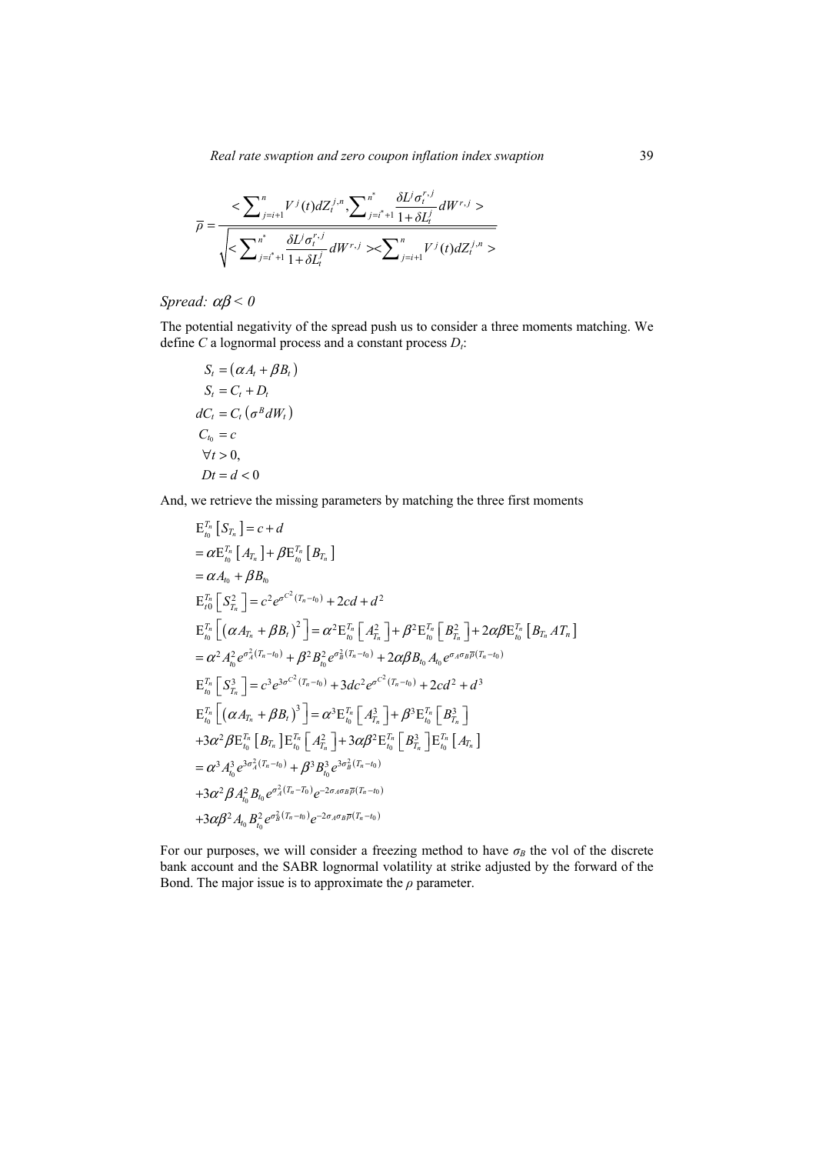$$
\overline{\rho} = \frac{<\sum_{j=i+1}^{n} V^j(t) dZ_t^{j,n}, \sum_{j=i^*+1}^{n^*} \frac{\delta L^j \sigma_t^{r,j}}{1 + \delta L_t^j} dW^{r,j}>}{\sqrt{<\sum_{j=i^*+1}^{n^*} \frac{\delta L^j \sigma_t^{r,j}}{1 + \delta L_t^j} dW^{r,j}> <\sum_{j=i+1}^{n} V^j(t) dZ_t^{j,n}>}}
$$

# *Spread:* αβ *< 0*

The potential negativity of the spread push us to consider a three moments matching. We define *C* a lognormal process and a constant process  $D_i$ :

$$
S_t = (\alpha A_t + \beta B_t)
$$
  
\n
$$
S_t = C_t + D_t
$$
  
\n
$$
dC_t = C_t (\sigma^B dW_t)
$$
  
\n
$$
C_{t_0} = c
$$
  
\n
$$
\forall t > 0,
$$
  
\n
$$
Dt = d < 0
$$

And, we retrieve the missing parameters by matching the three first moments

$$
E_{t_0}^{T_n}[S_{T_n}] = c + d
$$
  
\n
$$
= \alpha E_{t_0}^{T_n}[A_{T_n}] + \beta E_{t_0}^{T_n}[B_{T_n}]
$$
  
\n
$$
= \alpha A_{t_0} + \beta B_{t_0}
$$
  
\n
$$
E_{t_0}^{T_n} [S_{T_n}^2] = c^2 e^{\sigma c^2 (T_n - t_0)} + 2cd + d^2
$$
  
\n
$$
E_{t_0}^{T_n} [( \alpha A_{T_n} + \beta B_t)^2] = \alpha^2 E_{t_0}^{T_n}[A_{T_n}^2] + \beta^2 E_{t_0}^{T_n}[B_{T_n}^2] + 2\alpha \beta E_{t_0}^{T_n}[B_{T_n} A T_n]
$$
  
\n
$$
= \alpha^2 A_{t_0}^2 e^{\sigma_A^2 (T_n - t_0)} + \beta^2 B_{t_0}^2 e^{\sigma_B^2 (T_n - t_0)} + 2\alpha \beta B_{t_0} A_{t_0} e^{\sigma_A \sigma_B \overline{\rho} (T_n - t_0)}
$$
  
\n
$$
E_{t_0}^{T_n}[S_{T_n}^3] = c^3 e^{3\sigma c^2 (T_n - t_0)} + 3dc^2 e^{\sigma c^2 (T_n - t_0)} + 2cd^2 + d^3
$$
  
\n
$$
E_{t_0}^{T_n} [( \alpha A_{T_n} + \beta B_t)^3] = \alpha^3 E_{t_0}^{T_n}[A_{T_n}^3] + \beta^3 E_{t_0}^{T_n}[B_{T_n}^3]
$$
  
\n
$$
+3\alpha^2 \beta E_{t_0}^{T_n}[B_{T_n}] E_{t_0}^{T_n}[A_{T_n}^2] + 3\alpha \beta^2 E_{t_0}^{T_n}[B_{T_n}^3] E_{t_0}^{T_n}[A_{T_n}]
$$
  
\n
$$
= \alpha^3 A_{t_0}^3 e^{3\sigma_A^2 (T_n - t_0)} + \beta^3 B_{t_0}^3 e^{3\sigma_B^2 (T_n - t_0)}
$$
  
\n
$$
+3\alpha \beta^2 A_{t_0} B_{t_0} e^{\sigma_A^2 (T_n - t_0)} e^{-2\sigma_A \sigma_B \overline{\
$$

For our purposes, we will consider a freezing method to have  $\sigma_B$  the vol of the discrete bank account and the SABR lognormal volatility at strike adjusted by the forward of the Bond. The major issue is to approximate the  $\rho$  parameter.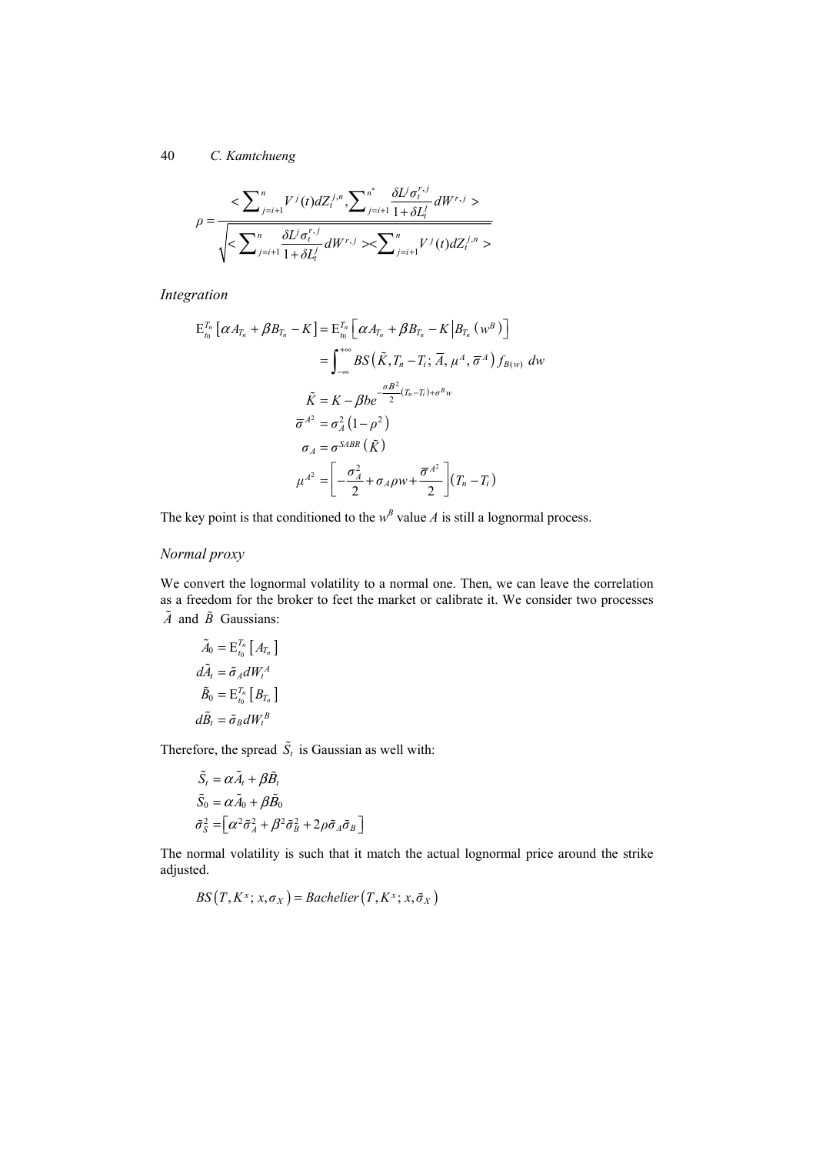$$
\rho = \frac{<\sum_{j=i+1}^{n} V^j(t) dZ^{j,n}_t, \sum_{j=i+1}^{n^*} \frac{\delta L^j \sigma^{r,j}_t}{1 + \delta L^j_t} dW^{r,j} >}{\sqrt{<\sum_{j=i+1}^{n} \frac{\delta L^j \sigma^{r,j}_t}{1 + \delta L^j_t} dW^{r,j}} > <\sum_{j=i+1}^{n} V^j(t) dZ^{j,n}_t >}
$$

*Integration* 

$$
E_{t_0}^{T_n} [\alpha A_{T_n} + \beta B_{T_n} - K] = E_{t_0}^{T_n} [\alpha A_{T_n} + \beta B_{T_n} - K | B_{T_n} (w^B)]
$$
  
\n
$$
= \int_{-\infty}^{+\infty} BS(\tilde{K}, T_n - T_i; \overline{A}, \mu^A, \overline{\sigma}^A) f_{B(w)} dw
$$
  
\n
$$
\tilde{K} = K - \beta b e^{-\frac{\sigma B^2}{2}(T_n - T_i) + \sigma^B w}
$$
  
\n
$$
\overline{\sigma}^{A^2} = \sigma_A^2 (1 - \rho^2)
$$
  
\n
$$
\sigma_A = \sigma^{SABR}(\tilde{K})
$$
  
\n
$$
\mu^{A^2} = \left[ -\frac{\sigma_A^2}{2} + \sigma_A \rho w + \frac{\overline{\sigma}^{A^2}}{2} \right] (T_n - T_i)
$$

The key point is that conditioned to the  $w^B$  value *A* is still a lognormal process.

# *Normal proxy*

We convert the lognormal volatility to a normal one. Then, we can leave the correlation as a freedom for the broker to feet the market or calibrate it. We consider two processes  $\tilde{A}$  and  $\tilde{B}$  Gaussians:

$$
\tilde{A}_0 = \mathbf{E}_{t_0}^{T_n} [A_{T_n}]
$$

$$
d\tilde{A}_t = \tilde{\sigma}_A dW_t^A
$$

$$
\tilde{B}_0 = \mathbf{E}_{t_0}^{T_n} [B_{T_n}]
$$

$$
d\tilde{B}_t = \tilde{\sigma}_B dW_t^B
$$

Therefore, the spread  $\tilde{S}_t$  is Gaussian as well with:

$$
\begin{aligned}\n\tilde{S}_t &= \alpha \tilde{A}_t + \beta \tilde{B}_t \\
\tilde{S}_0 &= \alpha \tilde{A}_0 + \beta \tilde{B}_0 \\
\tilde{\sigma}_S^2 &= \left[ \alpha^2 \tilde{\sigma}_A^2 + \beta^2 \tilde{\sigma}_B^2 + 2 \rho \tilde{\sigma}_A \tilde{\sigma}_B \right]\n\end{aligned}
$$

The normal volatility is such that it match the actual lognormal price around the strike adjusted.

$$
BS(T, K^x; x, \sigma_X) = Bachelier(T, K^x; x, \tilde{\sigma}_X)
$$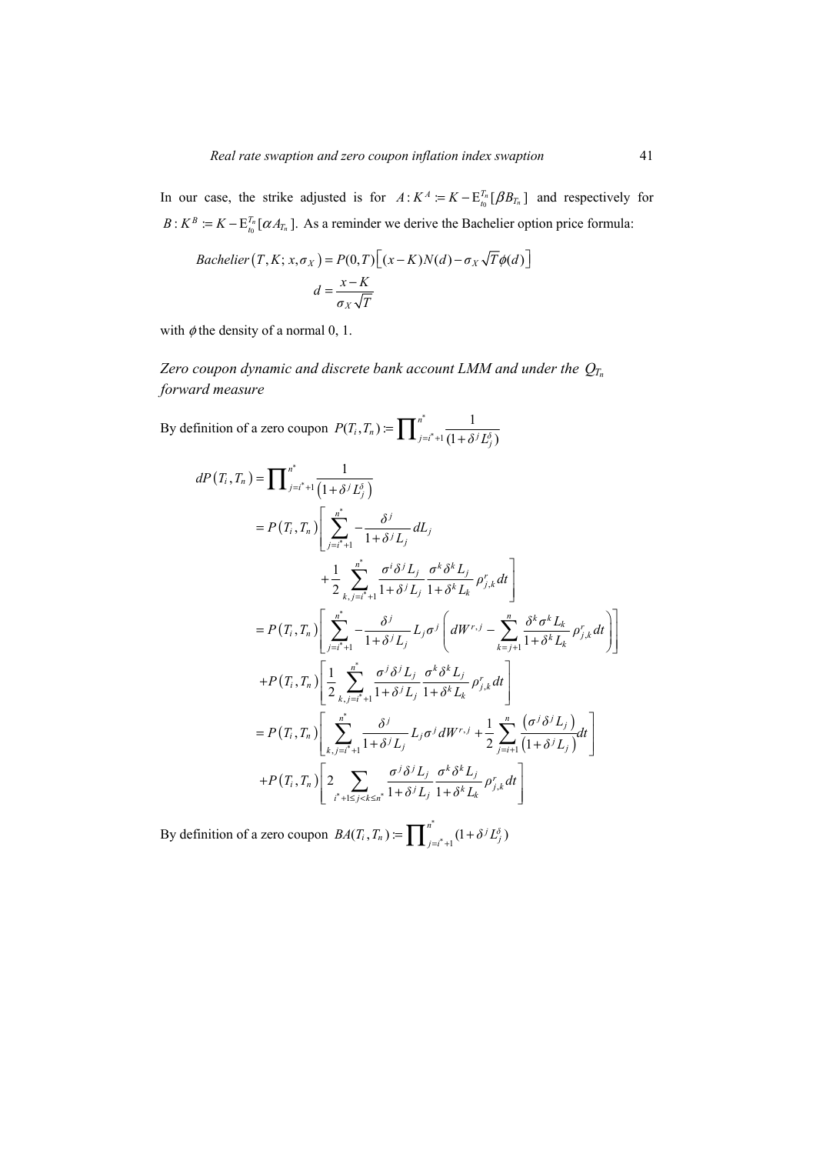In our case, the strike adjusted is for  $A : K^A := K - E_{t_0}^{T_n} [\beta B_{T_n}]$  and respectively for  $B: K^B := K - \mathbb{E}_{t_0}^{T_n} [\alpha A_{T_n}]$ . As a reminder we derive the Bachelier option price formula:

$$
Bachelier(T, K; x, \sigma_X) = P(0, T) \Big[ (x - K)N(d) - \sigma_X \sqrt{T} \phi(d) \Big]
$$

$$
d = \frac{x - K}{\sigma_X \sqrt{T}}
$$

with  $\phi$  the density of a normal 0, 1.

*Zero coupon dynamic and discrete bank account LMM and under the*  $Q_{T_n}$ *forward measure* 

By definition of a zero coupon  $P(T_i, T_n) = \prod_{j=i^*+1}^{n^*} \frac{1}{(1+\delta^j L_j^{\delta})}$  $P(T_i, T_n) \coloneqq \prod_{j=i^*+1}^n \frac{1}{(1+\delta^j L_j^{\delta})}$ 

$$
dP(T_i, T_n) = \prod_{j=i^*+1}^{n^*} \frac{1}{(1+\delta^j L_j^{\delta})}
$$
  
\n
$$
= P(T_i, T_n) \left[ \sum_{j=i^*+1}^{n^*} \frac{-\delta^j}{1+\delta^j L_j} dL_j + \frac{1}{2} \sum_{k,j=i^*+1}^{n^*} \frac{\sigma^i \delta^j L_j}{1+\delta^j L_j} \frac{\sigma^k \delta^k L_j}{1+\delta^k L_k} \rho_{j,k}^r dt \right]
$$
  
\n
$$
= P(T_i, T_n) \left[ \sum_{j=i^*+1}^{n^*} \frac{-\delta^j}{1+\delta^j L_j} L_j \sigma^j \left( dW^{r,j} - \sum_{k=j+1}^n \frac{\delta^k \sigma^k L_k}{1+\delta^k L_k} \rho_{j,k}^r dt \right) \right]
$$
  
\n
$$
+ P(T_i, T_n) \left[ \frac{1}{2} \sum_{k,j=i^*+1}^{n^*} \frac{\sigma^j \delta^j L_j}{1+\delta^j L_j} \frac{\sigma^k \delta^k L_j}{1+\delta^k L_k} \rho_{j,k}^r dt \right]
$$
  
\n
$$
= P(T_i, T_n) \left[ \sum_{k,j=i^*+1}^{n^*} \frac{\delta^j}{1+\delta^j L_j} L_j \sigma^j dW^{r,j} + \frac{1}{2} \sum_{j=i+1}^n \frac{(\sigma^j \delta^j L_j)}{(1+\delta^j L_j)} dt \right]
$$
  
\n
$$
+ P(T_i, T_n) \left[ 2 \sum_{i^*+1 \le j < k \le n^*} \frac{\sigma^j \delta^j L_j}{1+\delta^j L_j} \frac{\sigma^k \delta^k L_j}{1+\delta^k L_k} \rho_{j,k}^r dt \right]
$$

By definition of a zero coupon  $BA(T_i, T_n) := \prod_{j=i^*+1}^{n^*} (1 + \delta^j L_j^{\delta})$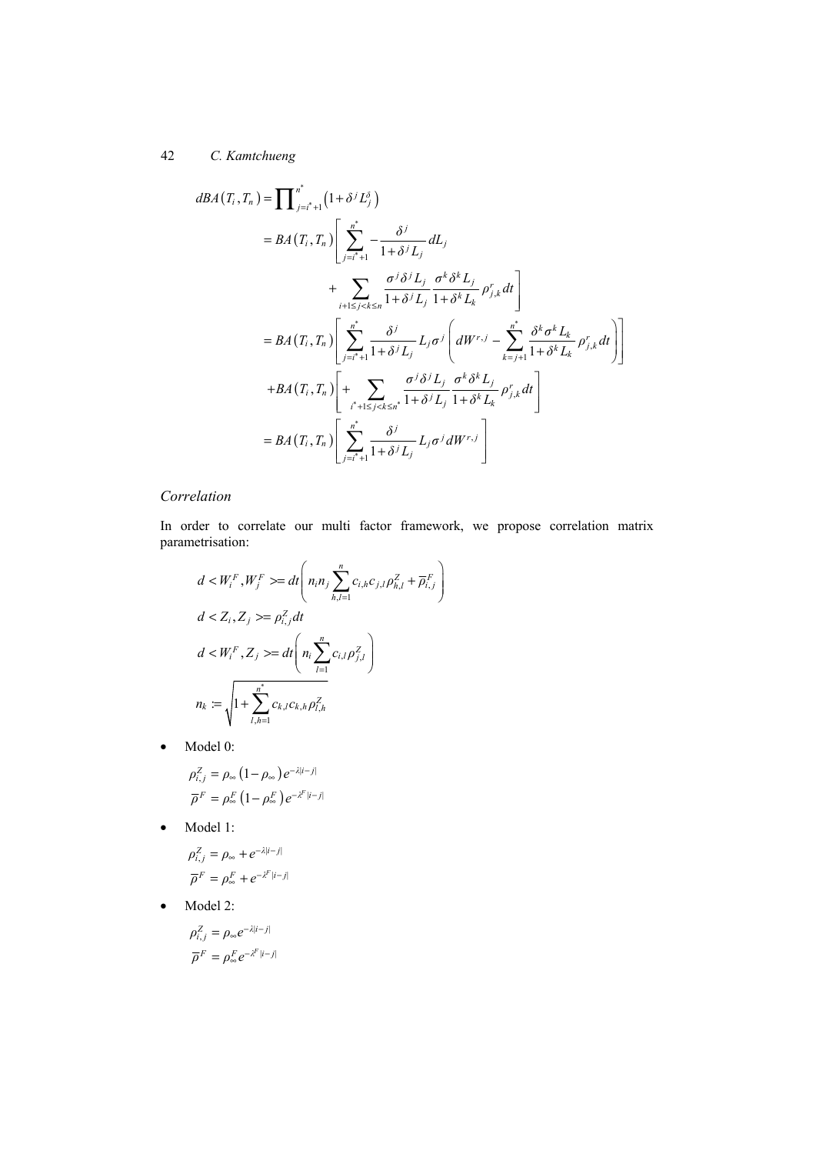$$
dBA(T_i, T_n) = \prod_{j=i^*+1}^{n^*} (1 + \delta^j L_j^{\delta})
$$
  
\n
$$
= BA(T_i, T_n) \left[ \sum_{j=i^*+1}^{n^*} -\frac{\delta^j}{1 + \delta^j L_j} dL_j + \sum_{i+1 \le j < k \le n} \frac{\sigma^j \delta^j L_j}{1 + \delta^j L_j} \frac{\sigma^k \delta^k L_j}{1 + \delta^k L_k} \rho_{j,k}^r dt \right]
$$
  
\n
$$
= BA(T_i, T_n) \left[ \sum_{j=i^*+1}^{n^*} \frac{\delta^j}{1 + \delta^j L_j} L_j \sigma^j \left( dW^{r,j} - \sum_{k=j+1}^{n^*} \frac{\delta^k \sigma^k L_k}{1 + \delta^k L_k} \rho_{j,k}^r dt \right) \right]
$$
  
\n
$$
+ BA(T_i, T_n) \left[ + \sum_{i^*+1 \le j < k \le n^*} \frac{\sigma^j \delta^j L_j}{1 + \delta^j L_j} \frac{\sigma^k \delta^k L_j}{1 + \delta^k L_k} \rho_{j,k}^r dt \right]
$$
  
\n
$$
= BA(T_i, T_n) \left[ \sum_{j=i^*+1}^{n^*} \frac{\delta^j}{1 + \delta^j L_j} L_j \sigma^j dW^{r,j} \right]
$$

# *Correlation*

In order to correlate our multi factor framework, we propose correlation matrix parametrisation:

$$
d < W_i^F, W_j^F > = dt \left( n_i n_j \sum_{h,l=1}^n c_{i,h} c_{j,l} \rho_{h,l}^Z + \overline{\rho}_{i,j}^F \right)
$$
\n
$$
d < Z_i, Z_j > = \rho_{i,j}^Z dt
$$
\n
$$
d < W_i^F, Z_j > = dt \left( n_i \sum_{l=1}^n c_{i,l} \rho_{j,l}^Z \right)
$$
\n
$$
n_k := \sqrt{1 + \sum_{l,h=1}^n c_{k,l} c_{k,h} \rho_{l,h}^Z}
$$

• Model 0:

$$
\rho_{i,j}^Z = \rho_{\infty} (1 - \rho_{\infty}) e^{-\lambda |i - j|}
$$

$$
\overline{\rho}^F = \rho_{\infty}^F (1 - \rho_{\infty}^F) e^{-\lambda^F |i - j|}
$$

• Model 1:

$$
\rho_{i,j}^Z = \rho_{\infty} + e^{-\lambda|i-j|}
$$

$$
\overline{\rho}^F = \rho_{\infty}^F + e^{-\lambda^F|i-j|}
$$

• Model 2:

$$
\rho_{i,j}^Z = \rho_{\infty} e^{-\lambda |i-j|}
$$

$$
\overline{\rho}^F = \rho_{\infty}^F e^{-\lambda^F |i-j|}
$$